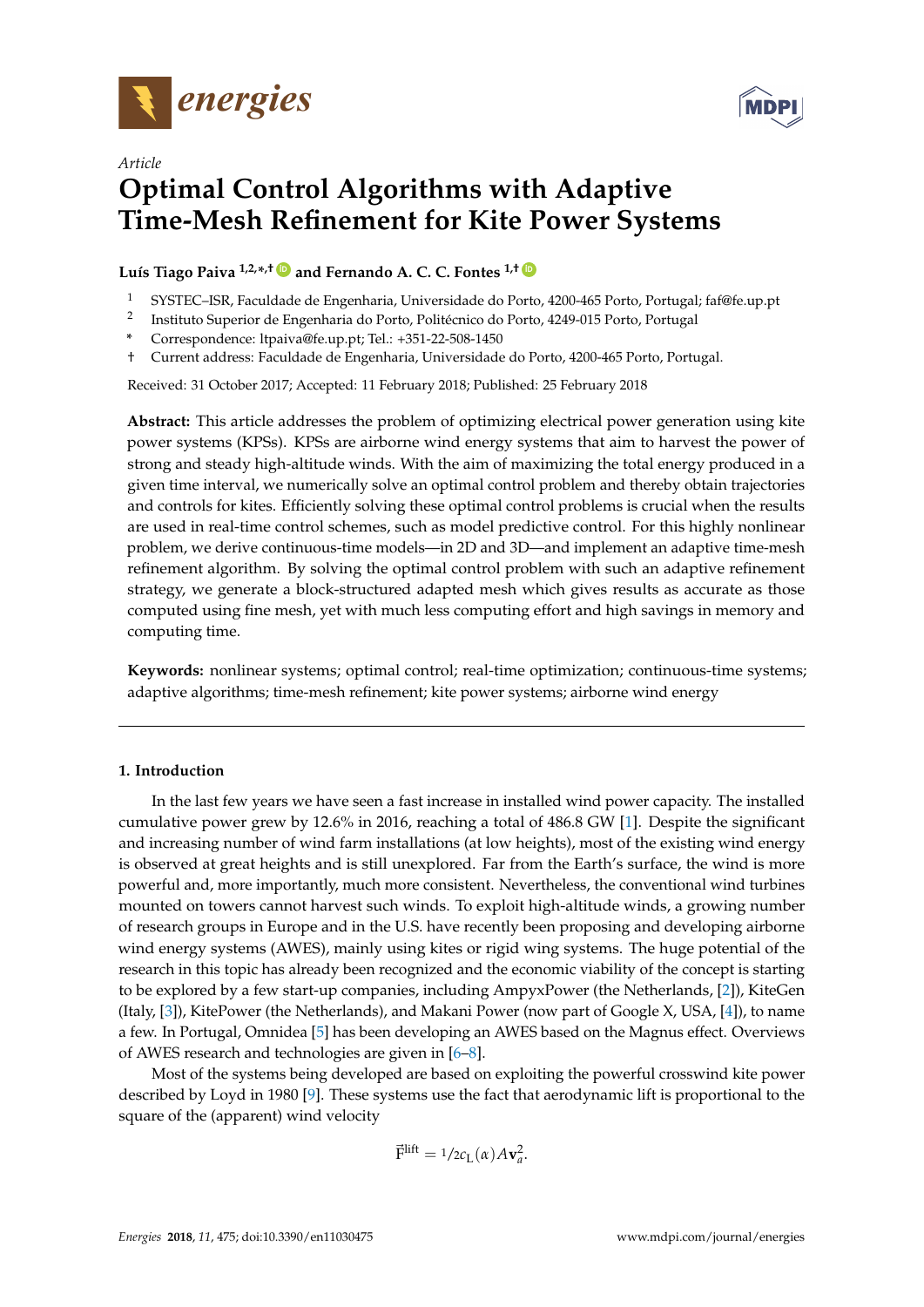



# *Article* **Optimal Control Algorithms with Adaptive Time-Mesh Refinement for Kite Power Systems**

**Luís Tiago Paiva 1,2,\* ,† [ID](https://orcid.org/0000-0002-3606-1695) and Fernando A. C. C. Fontes 1,† [ID](https://orcid.org/0000-0003-3516-5094)**

- <sup>1</sup> SYSTEC–ISR, Faculdade de Engenharia, Universidade do Porto, 4200-465 Porto, Portugal; faf@fe.up.pt
- 2 Instituto Superior de Engenharia do Porto, Politécnico do Porto, 4249-015 Porto, Portugal
- **\*** Correspondence: ltpaiva@fe.up.pt; Tel.: +351-22-508-1450
- † Current address: Faculdade de Engenharia, Universidade do Porto, 4200-465 Porto, Portugal.

Received: 31 October 2017; Accepted: 11 February 2018; Published: 25 February 2018

**Abstract:** This article addresses the problem of optimizing electrical power generation using kite power systems (KPSs). KPSs are airborne wind energy systems that aim to harvest the power of strong and steady high-altitude winds. With the aim of maximizing the total energy produced in a given time interval, we numerically solve an optimal control problem and thereby obtain trajectories and controls for kites. Efficiently solving these optimal control problems is crucial when the results are used in real-time control schemes, such as model predictive control. For this highly nonlinear problem, we derive continuous-time models—in 2D and 3D—and implement an adaptive time-mesh refinement algorithm. By solving the optimal control problem with such an adaptive refinement strategy, we generate a block-structured adapted mesh which gives results as accurate as those computed using fine mesh, yet with much less computing effort and high savings in memory and computing time.

**Keywords:** nonlinear systems; optimal control; real-time optimization; continuous-time systems; adaptive algorithms; time-mesh refinement; kite power systems; airborne wind energy

## **1. Introduction**

In the last few years we have seen a fast increase in installed wind power capacity. The installed cumulative power grew by 12.6% in 2016, reaching a total of 486.8 GW [\[1\]](#page-15-0). Despite the significant and increasing number of wind farm installations (at low heights), most of the existing wind energy is observed at great heights and is still unexplored. Far from the Earth's surface, the wind is more powerful and, more importantly, much more consistent. Nevertheless, the conventional wind turbines mounted on towers cannot harvest such winds. To exploit high-altitude winds, a growing number of research groups in Europe and in the U.S. have recently been proposing and developing airborne wind energy systems (AWES), mainly using kites or rigid wing systems. The huge potential of the research in this topic has already been recognized and the economic viability of the concept is starting to be explored by a few start-up companies, including AmpyxPower (the Netherlands, [\[2\]](#page-15-1)), KiteGen (Italy, [\[3\]](#page-15-2)), KitePower (the Netherlands), and Makani Power (now part of Google X, USA, [\[4\]](#page-15-3)), to name a few. In Portugal, Omnidea [\[5\]](#page-15-4) has been developing an AWES based on the Magnus effect. Overviews of AWES research and technologies are given in [\[6](#page-15-5)[–8\]](#page-15-6).

Most of the systems being developed are based on exploiting the powerful crosswind kite power described by Loyd in 1980 [\[9\]](#page-15-7). These systems use the fact that aerodynamic lift is proportional to the square of the (apparent) wind velocity

$$
\vec{\mathrm{F}}^{\mathrm{lift}} = 1/2c_{\mathrm{L}}(\alpha)A\mathbf{v}_a^2.
$$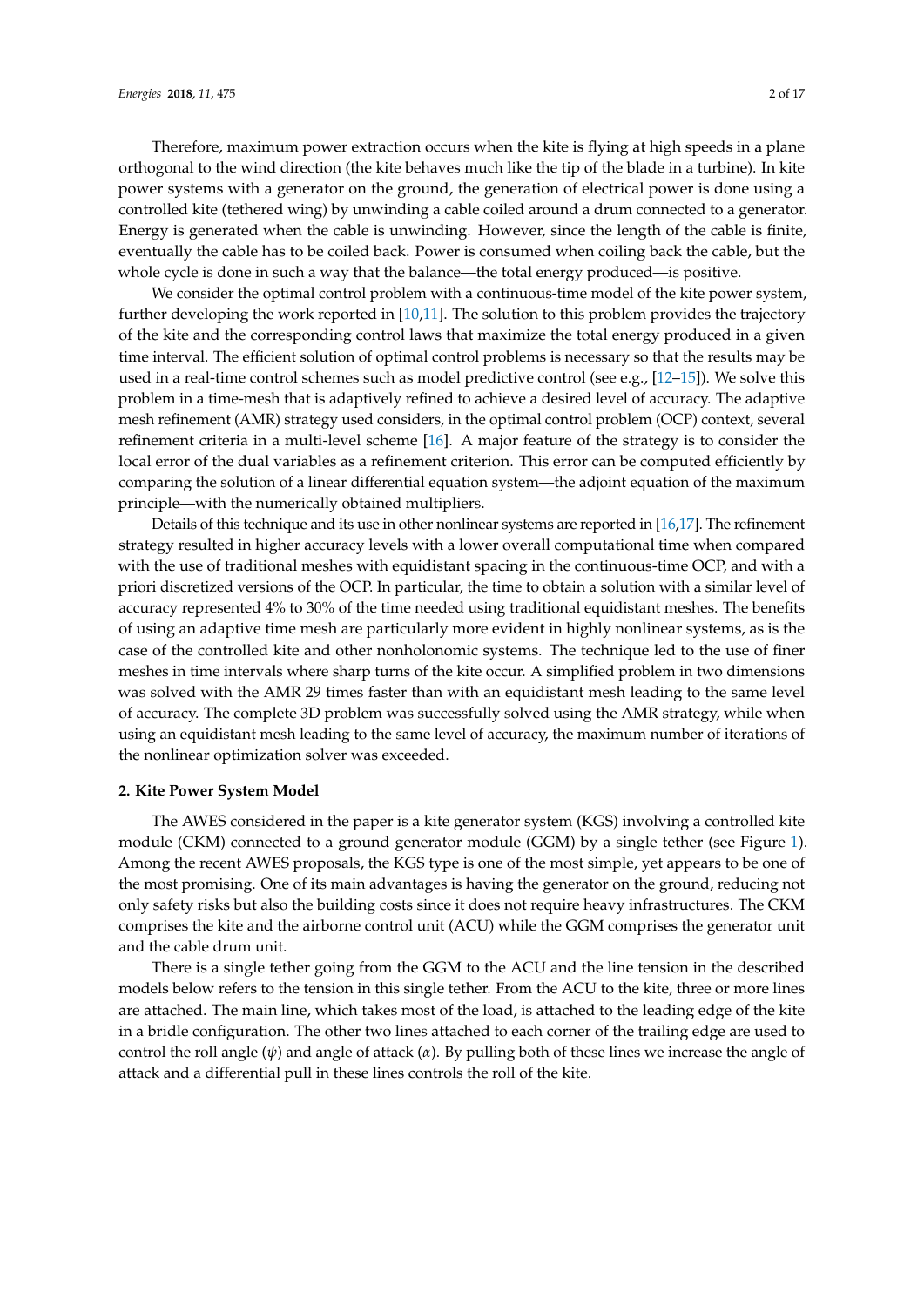Therefore, maximum power extraction occurs when the kite is flying at high speeds in a plane orthogonal to the wind direction (the kite behaves much like the tip of the blade in a turbine). In kite power systems with a generator on the ground, the generation of electrical power is done using a controlled kite (tethered wing) by unwinding a cable coiled around a drum connected to a generator. Energy is generated when the cable is unwinding. However, since the length of the cable is finite, eventually the cable has to be coiled back. Power is consumed when coiling back the cable, but the whole cycle is done in such a way that the balance—the total energy produced—is positive.

We consider the optimal control problem with a continuous-time model of the kite power system, further developing the work reported in [\[10,](#page-15-8)[11\]](#page-15-9). The solution to this problem provides the trajectory of the kite and the corresponding control laws that maximize the total energy produced in a given time interval. The efficient solution of optimal control problems is necessary so that the results may be used in a real-time control schemes such as model predictive control (see e.g., [\[12](#page-15-10)[–15\]](#page-15-11)). We solve this problem in a time-mesh that is adaptively refined to achieve a desired level of accuracy. The adaptive mesh refinement (AMR) strategy used considers, in the optimal control problem (OCP) context, several refinement criteria in a multi-level scheme [\[16\]](#page-15-12). A major feature of the strategy is to consider the local error of the dual variables as a refinement criterion. This error can be computed efficiently by comparing the solution of a linear differential equation system—the adjoint equation of the maximum principle—with the numerically obtained multipliers.

Details of this technique and its use in other nonlinear systems are reported in [\[16](#page-15-12)[,17\]](#page-15-13). The refinement strategy resulted in higher accuracy levels with a lower overall computational time when compared with the use of traditional meshes with equidistant spacing in the continuous-time OCP, and with a priori discretized versions of the OCP. In particular, the time to obtain a solution with a similar level of accuracy represented 4% to 30% of the time needed using traditional equidistant meshes. The benefits of using an adaptive time mesh are particularly more evident in highly nonlinear systems, as is the case of the controlled kite and other nonholonomic systems. The technique led to the use of finer meshes in time intervals where sharp turns of the kite occur. A simplified problem in two dimensions was solved with the AMR 29 times faster than with an equidistant mesh leading to the same level of accuracy. The complete 3D problem was successfully solved using the AMR strategy, while when using an equidistant mesh leading to the same level of accuracy, the maximum number of iterations of the nonlinear optimization solver was exceeded.

### **2. Kite Power System Model**

The AWES considered in the paper is a kite generator system (KGS) involving a controlled kite module (CKM) connected to a ground generator module (GGM) by a single tether (see Figure [1\)](#page-2-0). Among the recent AWES proposals, the KGS type is one of the most simple, yet appears to be one of the most promising. One of its main advantages is having the generator on the ground, reducing not only safety risks but also the building costs since it does not require heavy infrastructures. The CKM comprises the kite and the airborne control unit (ACU) while the GGM comprises the generator unit and the cable drum unit.

There is a single tether going from the GGM to the ACU and the line tension in the described models below refers to the tension in this single tether. From the ACU to the kite, three or more lines are attached. The main line, which takes most of the load, is attached to the leading edge of the kite in a bridle configuration. The other two lines attached to each corner of the trailing edge are used to control the roll angle (*ψ*) and angle of attack (*α*). By pulling both of these lines we increase the angle of attack and a differential pull in these lines controls the roll of the kite.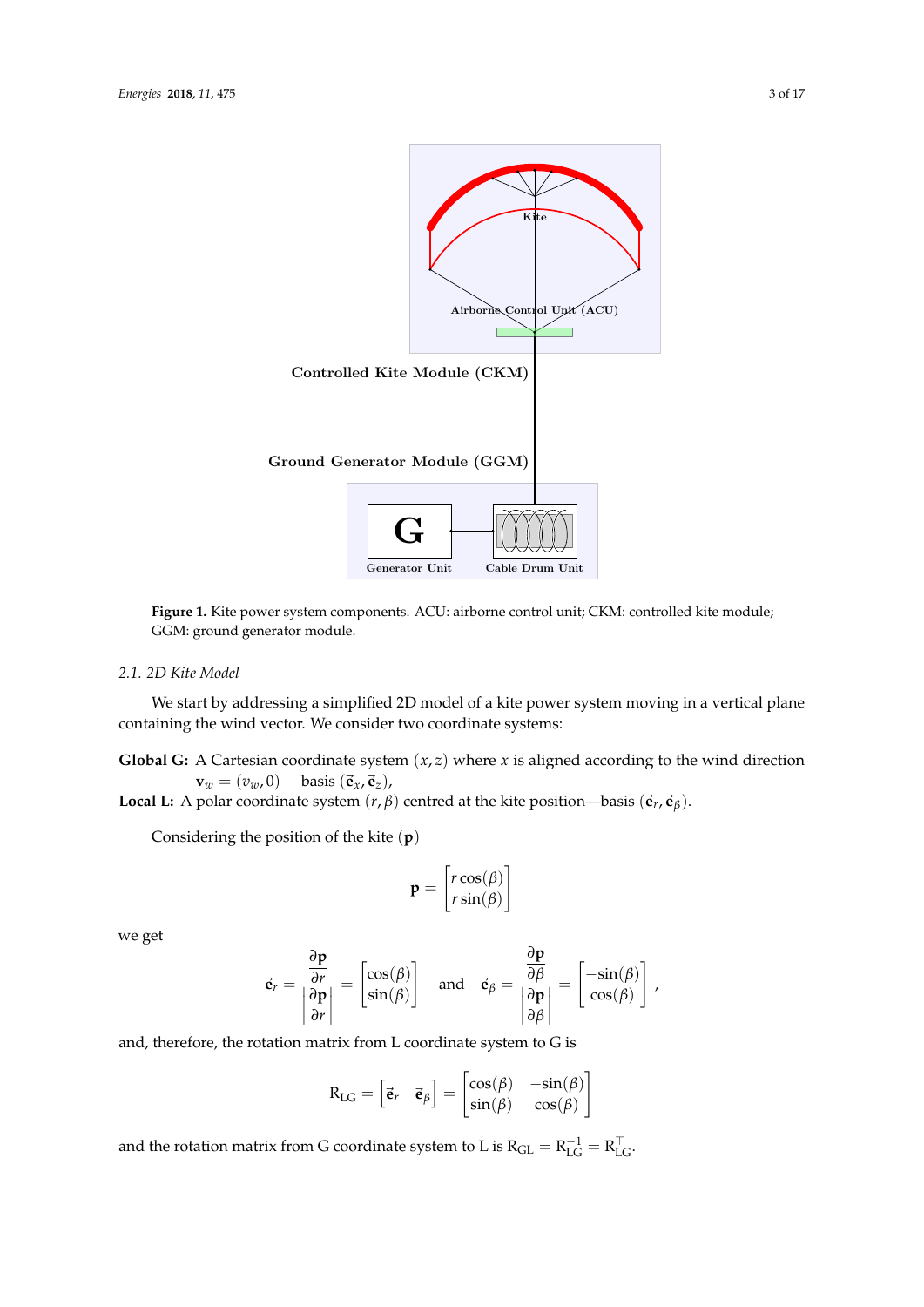<span id="page-2-0"></span>

**Figure 1.** Kite power system components. ACU: airborne control unit; CKM: controlled kite module; GGM: ground generator module.

# *2.1. 2D Kite Model*

We start by addressing a simplified 2D model of a kite power system moving in a vertical plane containing the wind vector. We consider two coordinate systems:

**Global G:** A Cartesian coordinate system  $(x, z)$  where  $x$  is aligned according to the wind direction  $\mathbf{v}_w = (v_w, 0) - \text{basis}(\vec{\mathbf{e}}_x, \vec{\mathbf{e}}_z),$ 

**Local L:** A polar coordinate system  $(r, \beta)$  centred at the kite position—basis  $(\vec{e}_r, \vec{e}_\beta)$ .

Considering the position of the kite (**p**)

$$
\mathbf{p} = \begin{bmatrix} r\cos(\beta) \\ r\sin(\beta) \end{bmatrix}
$$

we get

$$
\vec{\mathbf{e}}_r = \frac{\frac{\partial \mathbf{p}}{\partial r}}{\left|\frac{\partial \mathbf{p}}{\partial r}\right|} = \begin{bmatrix} \cos(\beta) \\ \sin(\beta) \end{bmatrix} \quad \text{and} \quad \vec{\mathbf{e}}_{\beta} = \frac{\frac{\partial \mathbf{p}}{\partial \beta}}{\left|\frac{\partial \mathbf{p}}{\partial \beta}\right|} = \begin{bmatrix} -\sin(\beta) \\ \cos(\beta) \end{bmatrix},
$$

and, therefore, the rotation matrix from L coordinate system to G is

$$
R_{LG} = \begin{bmatrix} \vec{e}_r & \vec{e}_\beta \end{bmatrix} = \begin{bmatrix} \cos(\beta) & -\sin(\beta) \\ \sin(\beta) & \cos(\beta) \end{bmatrix}
$$

and the rotation matrix from G coordinate system to L is  $R_{GL} = R_{LG}^{-1} = R_{LG}^{\top}$ .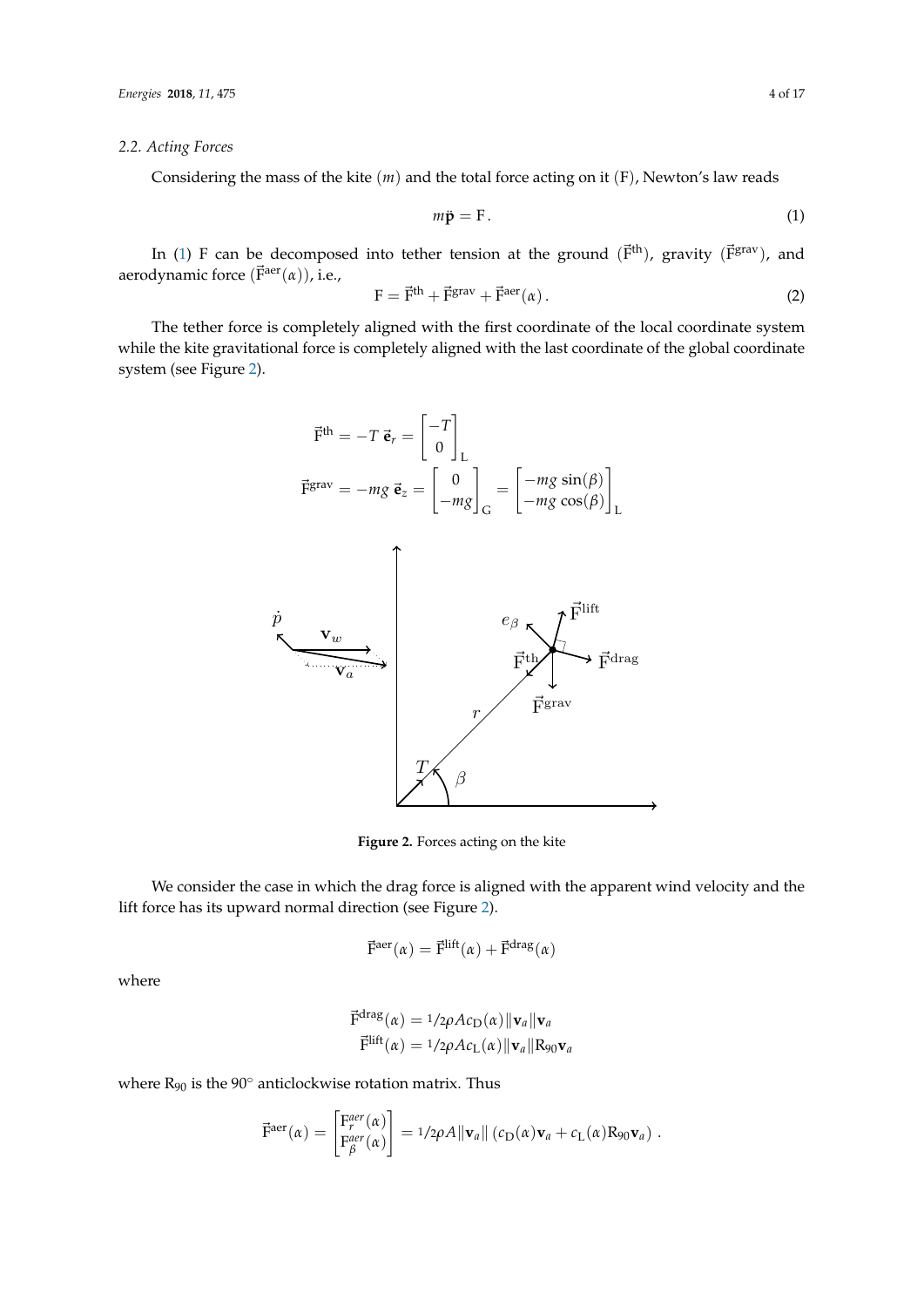## *2.2. Acting Forces*

Considering the mass of the kite (*m*) and the total force acting on it (F), Newton's law reads

<span id="page-3-0"></span>
$$
m\ddot{\mathbf{p}} = \mathbf{F}.\tag{1}
$$

In [\(1\)](#page-3-0) F can be decomposed into tether tension at the ground  $(\vec{F}^{th})$ , gravity  $(\vec{F}^{grav})$ , and aerodynamic force (F<sup>aer</sup>(α)), i.e.,

$$
\mathbf{F} = \vec{\mathbf{F}}^{\text{th}} + \vec{\mathbf{F}}^{\text{grav}} + \vec{\mathbf{F}}^{\text{aer}}(\alpha). \tag{2}
$$

The tether force is completely aligned with the first coordinate of the local coordinate system while the kite gravitational force is completely aligned with the last coordinate of the global coordinate system (see Figure [2\)](#page-3-1).

$$
\vec{F}^{\text{th}} = -T \vec{e}_r = \begin{bmatrix} -T \\ 0 \end{bmatrix}_L
$$

$$
\vec{F}^{\text{grav}} = -mg \vec{e}_z = \begin{bmatrix} 0 \\ -mg \end{bmatrix}_G = \begin{bmatrix} -mg \sin(\beta) \\ -mg \cos(\beta) \end{bmatrix}_L
$$

<span id="page-3-1"></span>

**Figure 2.** Forces acting on the kite

We consider the case in which the drag force is aligned with the apparent wind velocity and the lift force has its upward normal direction (see Figure [2\)](#page-3-1).

$$
\vec{F}^{aer}(\alpha) = \vec{F}^{lift}(\alpha) + \vec{F}^{drag}(\alpha)
$$

where

$$
\vec{\mathrm{F}}^{\mathrm{drag}}(\alpha) = 1/2\rho A c_{\mathrm{D}}(\alpha) ||\mathbf{v}_a||\mathbf{v}_a
$$

$$
\vec{\mathrm{F}}^{\mathrm{lift}}(\alpha) = 1/2\rho A c_{\mathrm{L}}(\alpha) ||\mathbf{v}_a||\mathbf{R}_{90}\mathbf{v}_a
$$

where  $R_{90}$  is the  $90^{\circ}$  anticlockwise rotation matrix. Thus

$$
\vec{\mathrm{F}}^{\mathrm{aer}}(\alpha) = \begin{bmatrix} \mathrm{F}^{aer}_r(\alpha) \\ \mathrm{F}^{aer}_\beta(\alpha) \end{bmatrix} = 1/2\rho A \|\mathbf{v}_a\| \left( c_\mathrm{D}(\alpha) \mathbf{v}_a + c_\mathrm{L}(\alpha) \mathrm{R}_{90} \mathbf{v}_a \right).
$$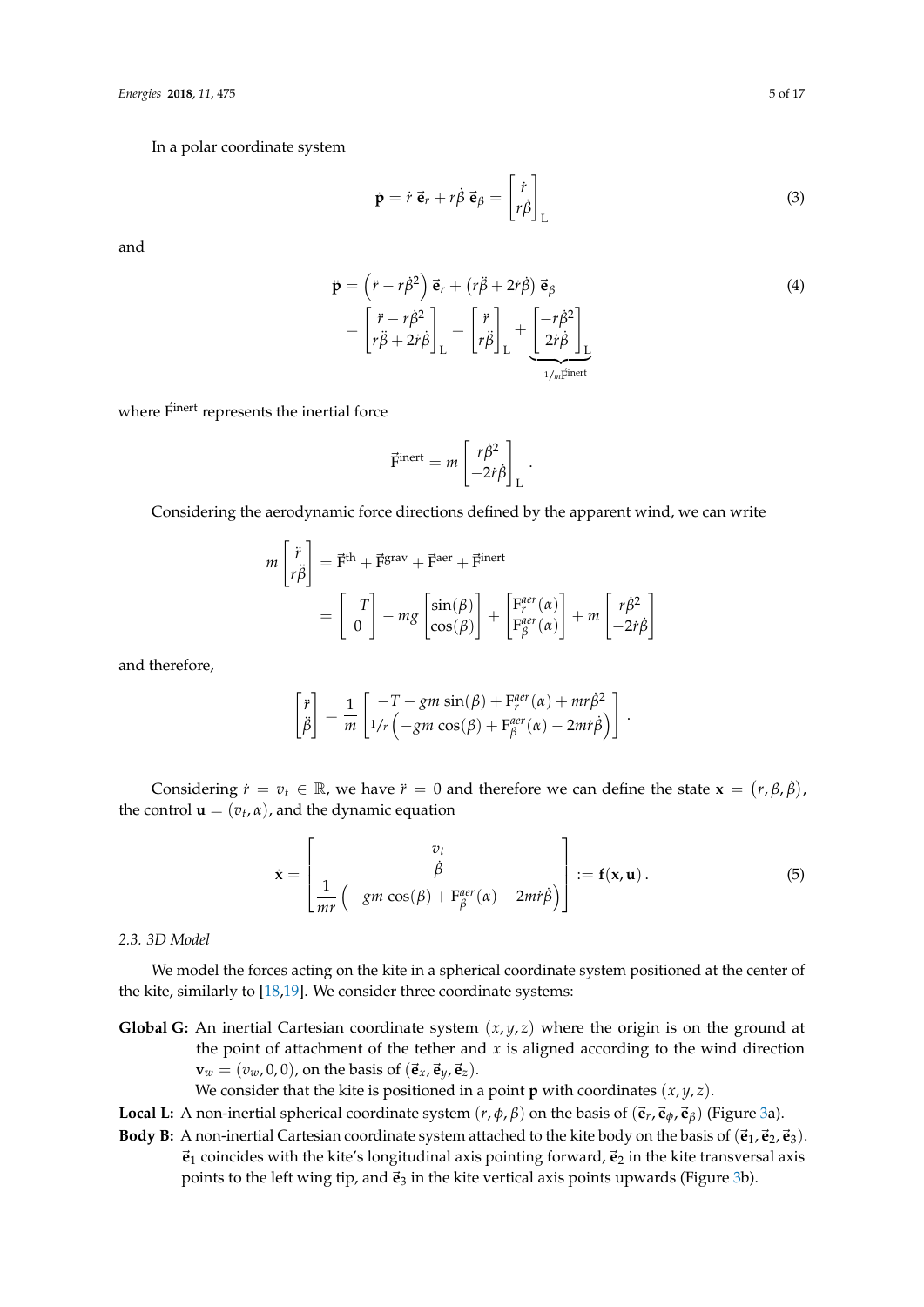In a polar coordinate system

$$
\dot{\mathbf{p}} = \dot{r} \, \vec{\mathbf{e}}_r + r \dot{\beta} \, \vec{\mathbf{e}}_{\beta} = \begin{bmatrix} \dot{r} \\ r \dot{\beta} \end{bmatrix}_{\mathbf{L}} \tag{3}
$$

and

$$
\ddot{\mathbf{p}} = (\dot{r} - r\dot{\beta}^2) \vec{\mathbf{e}}_r + (r\ddot{\beta} + 2\dot{r}\dot{\beta}) \vec{\mathbf{e}}_\beta \n= \begin{bmatrix} \ddot{r} - r\dot{\beta}^2 \\ r\ddot{\beta} + 2\dot{r}\dot{\beta} \end{bmatrix}_L = \begin{bmatrix} \ddot{r} \\ r\ddot{\beta} \end{bmatrix}_L + \underbrace{\begin{bmatrix} -r\dot{\beta}^2 \\ 2\dot{r}\dot{\beta} \end{bmatrix}_L}_{-1/m\vec{F}^{inert}}
$$
\n(4)

where  $\vec{F}^{\text{inert}}$  represents the inertial force

$$
\vec{\mathrm{F}}^{\mathrm{inert}} = m \begin{bmatrix} r\dot{\beta}^2 \\ -2\dot{r}\dot{\beta} \end{bmatrix}_\mathrm{L}.
$$

Considering the aerodynamic force directions defined by the apparent wind, we can write

$$
m\begin{bmatrix} \ddot{r} \\ r\ddot{\beta} \end{bmatrix} = \vec{F}^{\text{th}} + \vec{F}^{\text{grav}} + \vec{F}^{\text{aer}} + \vec{F}^{\text{inert}}
$$

$$
= \begin{bmatrix} -T \\ 0 \end{bmatrix} - mg \begin{bmatrix} \sin(\beta) \\ \cos(\beta) \end{bmatrix} + \begin{bmatrix} F_r^{aer}(\alpha) \\ F_\beta^{aer}(\alpha) \end{bmatrix} + m \begin{bmatrix} r\dot{\beta}^2 \\ -2\dot{r}\dot{\beta} \end{bmatrix}
$$

and therefore,

$$
\begin{bmatrix} \ddot{r} \\ \ddot{\beta} \end{bmatrix} = \frac{1}{m} \begin{bmatrix} -T - gm \sin(\beta) + F_r^{aer}(\alpha) + mr\dot{\beta}^2 \\ 1/r \left( -gm \cos(\beta) + F_\beta^{aer}(\alpha) - 2mr\dot{\beta} \right) \end{bmatrix}.
$$

Considering  $\dot{r} = v_t \in \mathbb{R}$ , we have  $\ddot{r} = 0$  and therefore we can define the state  $\mathbf{x} = (r, \beta, \dot{\beta})$ , the control  $\mathbf{u} = (v_t, \alpha)$ , and the dynamic equation

$$
\dot{\mathbf{x}} = \begin{bmatrix} v_t \\ \dot{\beta} \\ \frac{1}{mr} \left( -gm \cos(\beta) + F_\beta^{aer}(\alpha) - 2mr\dot{\beta} \right) \end{bmatrix} := \mathbf{f}(\mathbf{x}, \mathbf{u}). \tag{5}
$$

### *2.3. 3D Model*

We model the forces acting on the kite in a spherical coordinate system positioned at the center of the kite, similarly to [\[18](#page-15-14)[,19\]](#page-15-15). We consider three coordinate systems:

- **Global G:** An inertial Cartesian coordinate system  $(x, y, z)$  where the origin is on the ground at the point of attachment of the tether and  $x$  is aligned according to the wind direction  $\mathbf{v}_w = (v_w, 0, 0)$ , on the basis of  $(\vec{\mathbf{e}}_x, \vec{\mathbf{e}}_y, \vec{\mathbf{e}}_z)$ .
	- We consider that the kite is positioned in a point **p** with coordinates  $(x, y, z)$ .
- **Local L:** A non-inertial spherical coordinate system  $(r, \phi, \beta)$  on the basis of  $(\vec{e}_r, \vec{e}_\phi, \vec{e}_\beta)$  (Figure [3a](#page-5-0)).
- **Body B:** A non-inertial Cartesian coordinate system attached to the kite body on the basis of  $(\vec{e}_1, \vec{e}_2, \vec{e}_3)$ .  $\vec{e}_1$  coincides with the kite's longitudinal axis pointing forward,  $\vec{e}_2$  in the kite transversal axis points to the left wing tip, and  $\vec{e}_3$  in the kite vertical axis points upwards (Figure [3b](#page-5-0)).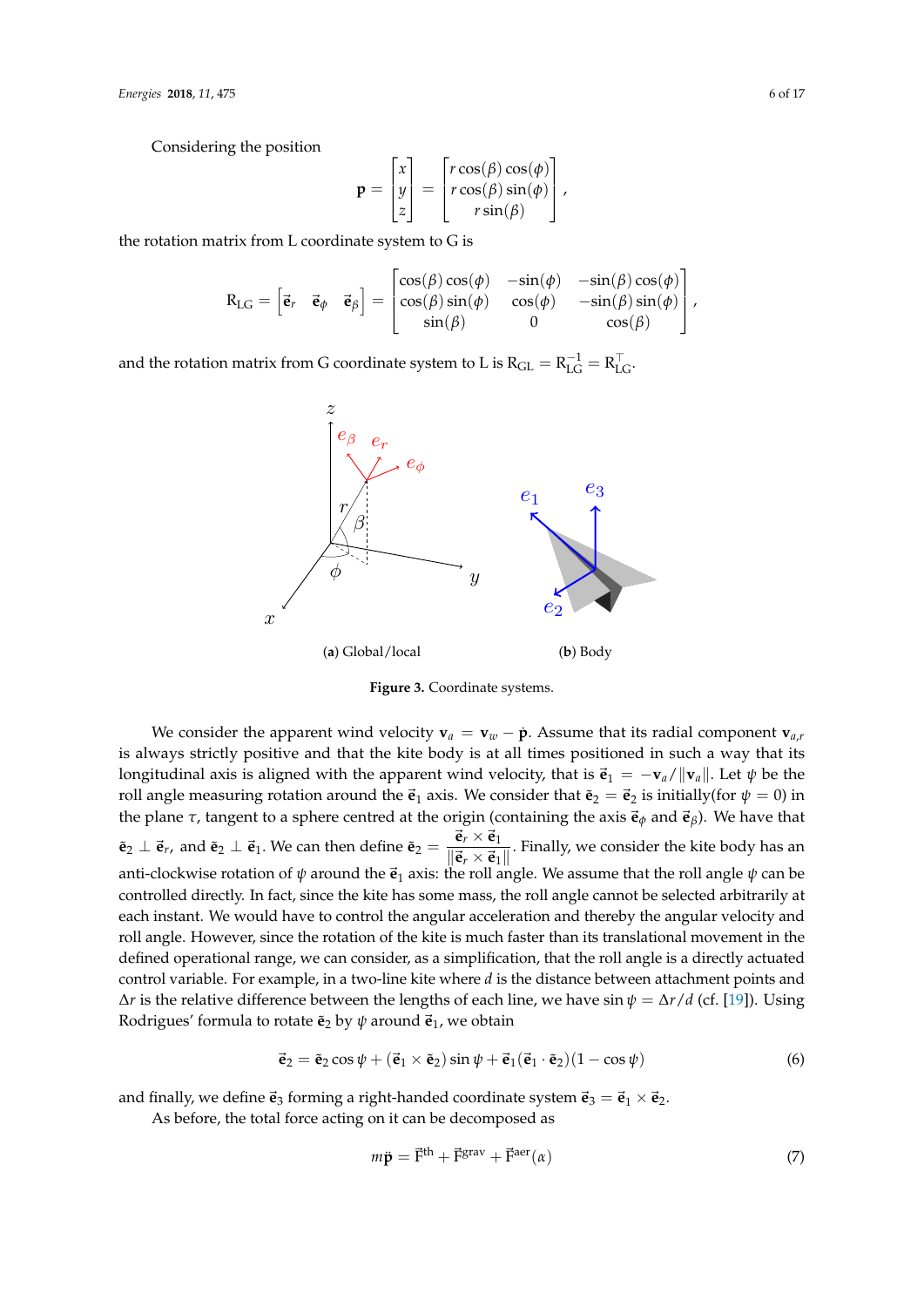Considering the position

$$
\mathbf{p} = \begin{bmatrix} x \\ y \\ z \end{bmatrix} = \begin{bmatrix} r\cos(\beta)\cos(\phi) \\ r\cos(\beta)\sin(\phi) \\ r\sin(\beta) \end{bmatrix},
$$

the rotation matrix from L coordinate system to G is

$$
\mathrm{R}_{\mathrm{LG}} = \begin{bmatrix} \vec{\mathbf{e}}_r & \vec{\mathbf{e}}_{\phi} & \vec{\mathbf{e}}_{\beta} \end{bmatrix} = \begin{bmatrix} \cos(\beta)\cos(\phi) & -\sin(\phi) & -\sin(\beta)\cos(\phi) \\ \cos(\beta)\sin(\phi) & \cos(\phi) & -\sin(\beta)\sin(\phi) \\ \sin(\beta) & 0 & \cos(\beta) \end{bmatrix},
$$

<span id="page-5-0"></span>and the rotation matrix from G coordinate system to L is  $R_{GL} = R_{LG}^{-1} = R_{LG}^{\top}$ .



**Figure 3.** Coordinate systems.

We consider the apparent wind velocity  $\mathbf{v}_a = \mathbf{v}_w - \dot{\mathbf{p}}$ . Assume that its radial component  $\mathbf{v}_{a,r}$ is always strictly positive and that the kite body is at all times positioned in such a way that its longitudinal axis is aligned with the apparent wind velocity, that is  $\vec{\mathbf{e}}_1 = -\mathbf{v}_a/||\mathbf{v}_a||$ . Let  $\psi$  be the roll angle measuring rotation around the  $\vec{e}_1$  axis. We consider that  $\tilde{e}_2 = \vec{e}_2$  is initially(for  $\psi = 0$ ) in the plane  $\tau$ , tangent to a sphere centred at the origin (containing the axis  $\vec{\mathbf{e}}_{\phi}$  and  $\vec{\mathbf{e}}_{\beta}$ ). We have that  $\tilde{\mathbf{e}}_2 \perp \vec{\mathbf{e}}_r$ , and  $\tilde{\mathbf{e}}_2 \perp \vec{\mathbf{e}}_1$ . We can then define  $\tilde{\mathbf{e}}_2 = \frac{\vec{\mathbf{e}}_r \times \vec{\mathbf{e}}_1}{\|\vec{\mathbf{a}}\| \times \vec{\mathbf{a}}_r\|}$  $\frac{e^{\lambda} + e^{\lambda}}{||e^{\lambda} \times e^{\lambda}||}$ . Finally, we consider the kite body has an anti-clockwise rotation of  $\psi$  around the  $\vec{e}_1$  axis: the roll angle. We assume that the roll angle  $\psi$  can be controlled directly. In fact, since the kite has some mass, the roll angle cannot be selected arbitrarily at each instant. We would have to control the angular acceleration and thereby the angular velocity and roll angle. However, since the rotation of the kite is much faster than its translational movement in the defined operational range, we can consider, as a simplification, that the roll angle is a directly actuated control variable. For example, in a two-line kite where *d* is the distance between attachment points and ∆*r* is the relative difference between the lengths of each line, we have sin *ψ* = ∆*r*/*d* (cf. [\[19\]](#page-15-15)). Using Rodrigues' formula to rotate  $\tilde{\mathbf{e}}_2$  by  $\psi$  around  $\vec{\mathbf{e}}_1$ , we obtain

$$
\vec{\mathbf{e}}_2 = \tilde{\mathbf{e}}_2 \cos \psi + (\vec{\mathbf{e}}_1 \times \tilde{\mathbf{e}}_2) \sin \psi + \vec{\mathbf{e}}_1 (\vec{\mathbf{e}}_1 \cdot \tilde{\mathbf{e}}_2) (1 - \cos \psi)
$$
(6)

and finally, we define  $\vec{e}_3$  forming a right-handed coordinate system  $\vec{e}_3 = \vec{e}_1 \times \vec{e}_2$ .

As before, the total force acting on it can be decomposed as

$$
m\ddot{\mathbf{p}} = \vec{\mathbf{F}}^{\text{th}} + \vec{\mathbf{F}}^{\text{grav}} + \vec{\mathbf{F}}^{\text{aer}}(\alpha)
$$
\n<sup>(7)</sup>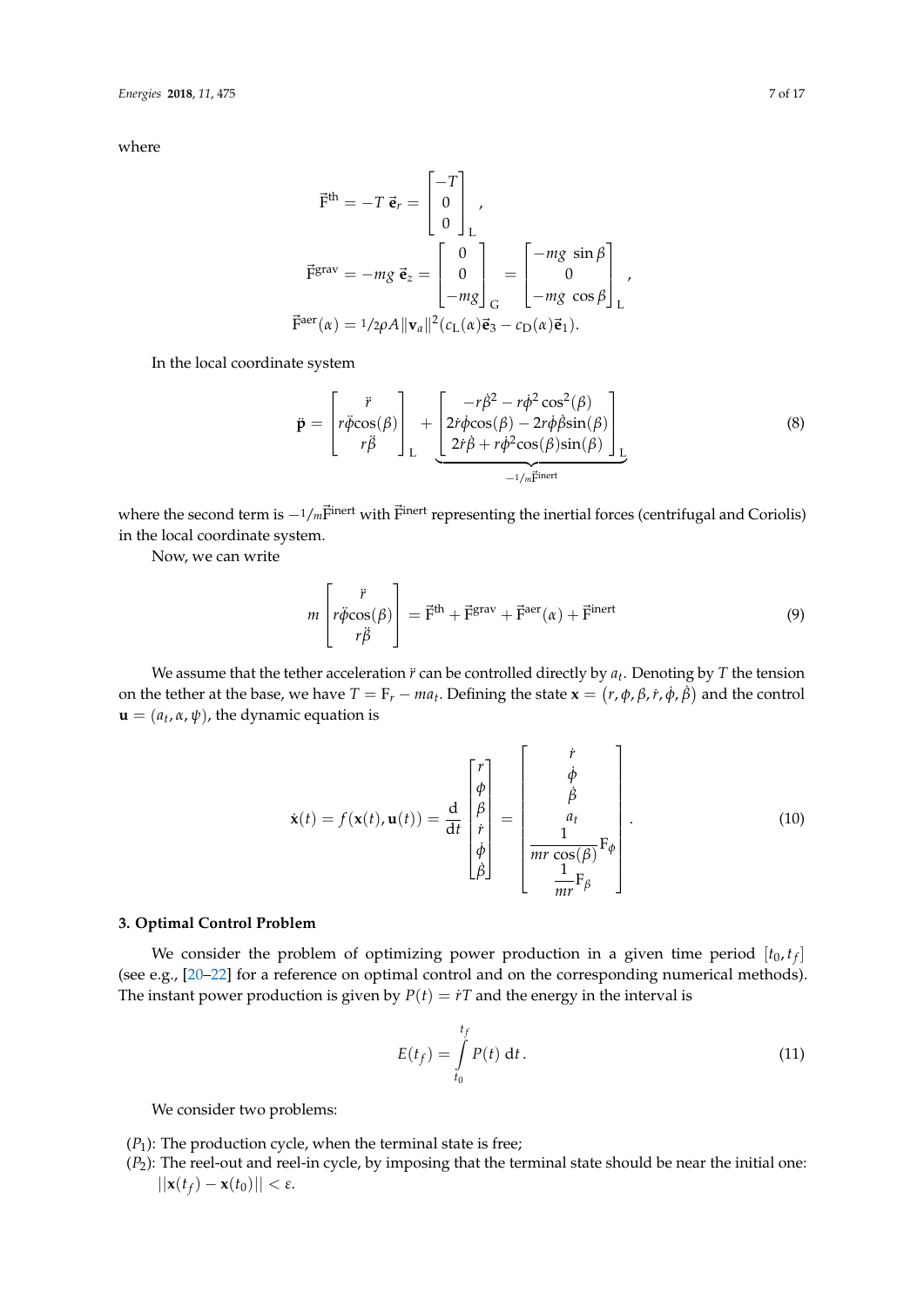where

$$
\vec{F}^{th} = -T \vec{e}_r = \begin{bmatrix} -T \\ 0 \\ 0 \end{bmatrix}_L,
$$
  

$$
\vec{F}^{grav} = -mg \vec{e}_z = \begin{bmatrix} 0 \\ 0 \\ -mg \end{bmatrix}_G = \begin{bmatrix} -mg \sin \beta \\ 0 \\ -mg \cos \beta \end{bmatrix}_L,
$$
  

$$
\vec{F}^{aer}(\alpha) = 1/2\rho A ||\mathbf{v}_a||^2 (c_L(\alpha)\vec{e}_3 - c_D(\alpha)\vec{e}_1).
$$

In the local coordinate system

$$
\ddot{\mathbf{p}} = \begin{bmatrix} \ddot{r} \\ r\ddot{\phi}\cos(\beta) \\ r\ddot{\beta} \end{bmatrix}_{L} + \underbrace{\begin{bmatrix} -r\dot{\beta}^{2} - r\dot{\phi}^{2}\cos^{2}(\beta) \\ 2\dot{r}\dot{\phi}\cos(\beta) - 2r\dot{\phi}\dot{\beta}\sin(\beta) \\ 2\dot{r}\dot{\beta} + r\dot{\phi}^{2}\cos(\beta)\sin(\beta) \end{bmatrix}_{L}}_{-1/m\vec{F}^{inert}}
$$
(8)

where the second term is  $-1/m$  $\vec{F}$ <sup>inert</sup> with  $\vec{F}$ <sup>inert</sup> representing the inertial forces (centrifugal and Coriolis) in the local coordinate system.

Now, we can write

$$
m\begin{bmatrix} \ddot{r} \\ r\ddot{\phi}\cos(\beta) \\ r\ddot{\beta} \end{bmatrix} = \vec{F}^{\text{th}} + \vec{F}^{\text{grav}} + \vec{F}^{\text{aer}}(\alpha) + \vec{F}^{\text{inert}} \tag{9}
$$

We assume that the tether acceleration *r*¨ can be controlled directly by *a<sup>t</sup>* . Denoting by *T* the tension on the tether at the base, we have  $T = F_r - ma_t$ . Defining the state  $\mathbf{x} = (r, \phi, \beta, r, \dot{\phi}, \dot{\beta})$  and the control  $\mathbf{u} = (a_t, \alpha, \psi)$ , the dynamic equation is

$$
\dot{\mathbf{x}}(t) = f(\mathbf{x}(t), \mathbf{u}(t)) = \frac{d}{dt} \begin{bmatrix} r \\ \phi \\ \beta \\ \dot{\beta} \\ \dot{\beta} \end{bmatrix} = \begin{bmatrix} \dot{r} \\ \dot{\phi} \\ \dot{\beta} \\ m\dot{r} \\ \frac{1}{mr} \mathbf{F}_{\beta} \end{bmatrix} .
$$
 (10)

## **3. Optimal Control Problem**

We consider the problem of optimizing power production in a given time period  $[t_0,t_f]$ (see e.g., [\[20](#page-15-16)[–22\]](#page-15-17) for a reference on optimal control and on the corresponding numerical methods). The instant power production is given by  $P(t) = iT$  and the energy in the interval is

$$
E(t_f) = \int_{t_0}^{t_f} P(t) dt.
$$
\n(11)

We consider two problems:

- $(P_1)$ : The production cycle, when the terminal state is free;
- (*P*2): The reel-out and reel-in cycle, by imposing that the terminal state should be near the initial one:  $||\mathbf{x}(t_f) - \mathbf{x}(t_0)|| < \varepsilon$ .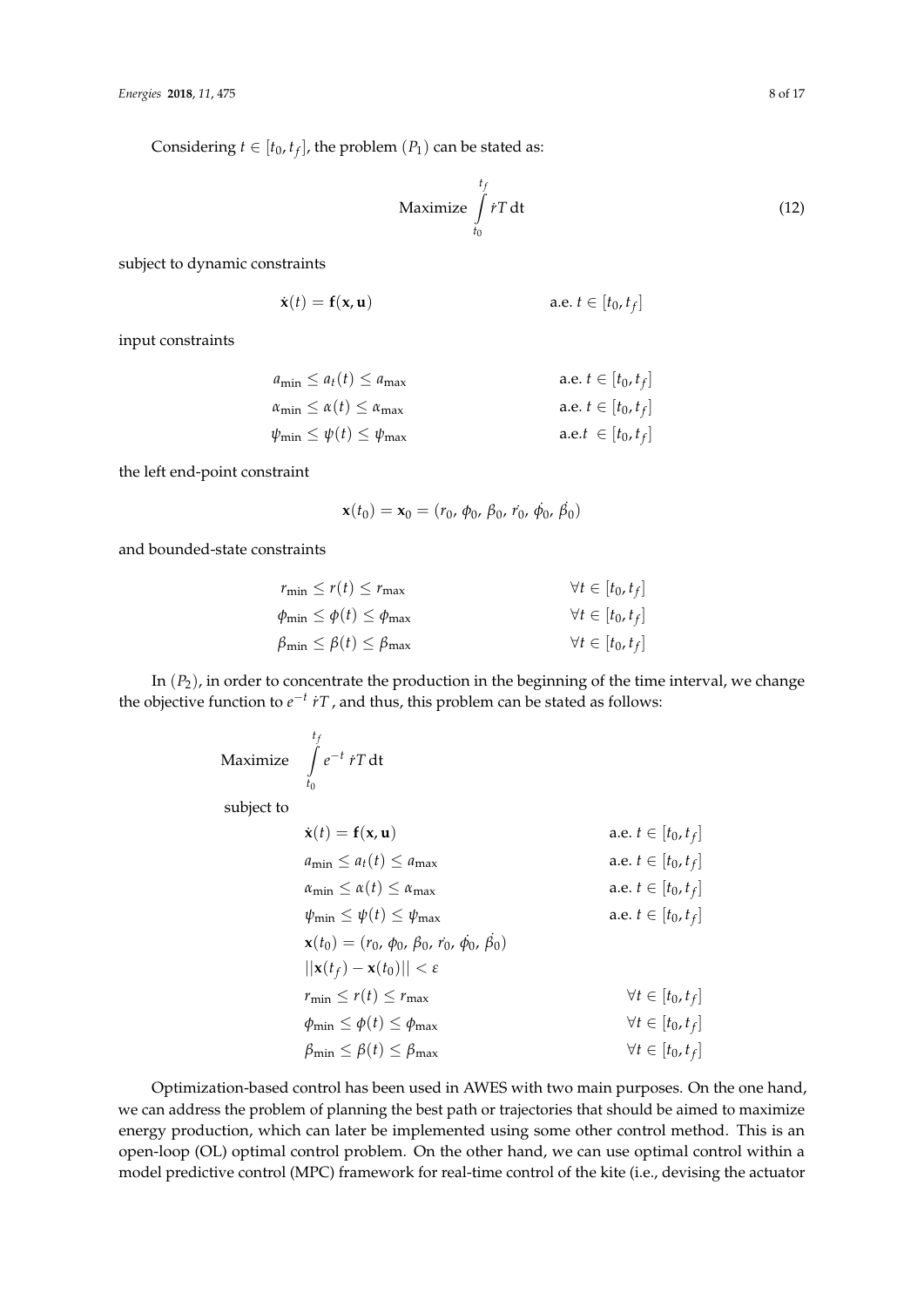Considering  $t \in [t_0, t_f]$ , the problem  $(P_1)$  can be stated as:

$$
\text{Maximize } \int_{t_0}^{t_f} \dot{r} \, dt \tag{12}
$$

subject to dynamic constraints

$$
\dot{\mathbf{x}}(t) = \mathbf{f}(\mathbf{x}, \mathbf{u}) \qquad \text{a.e. } t \in [t_0, t_f]
$$

input constraints

$$
a_{\min} \le a_t(t) \le a_{\max} \qquad \text{a.e. } t \in [t_0, t_f]
$$
  
\n
$$
\alpha_{\min} \le \alpha(t) \le \alpha_{\max} \qquad \text{a.e. } t \in [t_0, t_f]
$$
  
\n
$$
\psi_{\min} \le \psi(t) \le \psi_{\max} \qquad \text{a.e. } t \in [t_0, t_f]
$$

the left end-point constraint

$$
\mathbf{x}(t_0) = \mathbf{x}_0 = (r_0, \phi_0, \beta_0, r_0, \dot{\phi}_0, \dot{\beta}_0)
$$

and bounded-state constraints

$$
r_{\min} \le r(t) \le r_{\max} \qquad \forall t \in [t_0, t_f]
$$
  
\n
$$
\phi_{\min} \le \phi(t) \le \phi_{\max} \qquad \forall t \in [t_0, t_f]
$$
  
\n
$$
\beta_{\min} \le \beta(t) \le \beta_{\max} \qquad \forall t \in [t_0, t_f]
$$

In (*P*2), in order to concentrate the production in the beginning of the time interval, we change the objective function to  $e^{-t}$  *i*T, and thus, this problem can be stated as follows:

$$
\text{Maximize} \quad \int_{t_0}^{t_f} e^{-t} \, \dot{r} \, \text{T} \, \text{dt}
$$

subject to

| $\dot{\mathbf{x}}(t) = \mathbf{f}(\mathbf{x}, \mathbf{u})$             | a.e. $t \in [t_0, t_f]$    |
|------------------------------------------------------------------------|----------------------------|
| $a_{\min} \leq a_t(t) \leq a_{\max}$                                   | a.e. $t \in [t_0, t_f]$    |
| $\alpha_{\min} \leq \alpha(t) \leq \alpha_{\max}$                      | a.e. $t \in [t_0, t_f]$    |
| $\psi_{\min} \leq \psi(t) \leq \psi_{\max}$                            | a.e. $t \in [t_0, t_f]$    |
| $\mathbf{x}(t_0) = (r_0, \phi_0, \beta_0, r_0, \dot{\phi}_0, \beta_0)$ |                            |
| $  \mathbf{x}(t_f) - \mathbf{x}(t_0)   < \varepsilon$                  |                            |
| $r_{\min} \leq r(t) \leq r_{\max}$                                     | $\forall t \in [t_0, t_f]$ |
| $\phi_{\min} \leq \phi(t) \leq \phi_{\max}$                            | $\forall t \in [t_0, t_f]$ |
| $\beta_{\min} \leq \beta(t) \leq \beta_{\max}$                         | $\forall t \in [t_0, t_f]$ |
|                                                                        |                            |

Optimization-based control has been used in AWES with two main purposes. On the one hand, we can address the problem of planning the best path or trajectories that should be aimed to maximize energy production, which can later be implemented using some other control method. This is an open-loop (OL) optimal control problem. On the other hand, we can use optimal control within a model predictive control (MPC) framework for real-time control of the kite (i.e., devising the actuator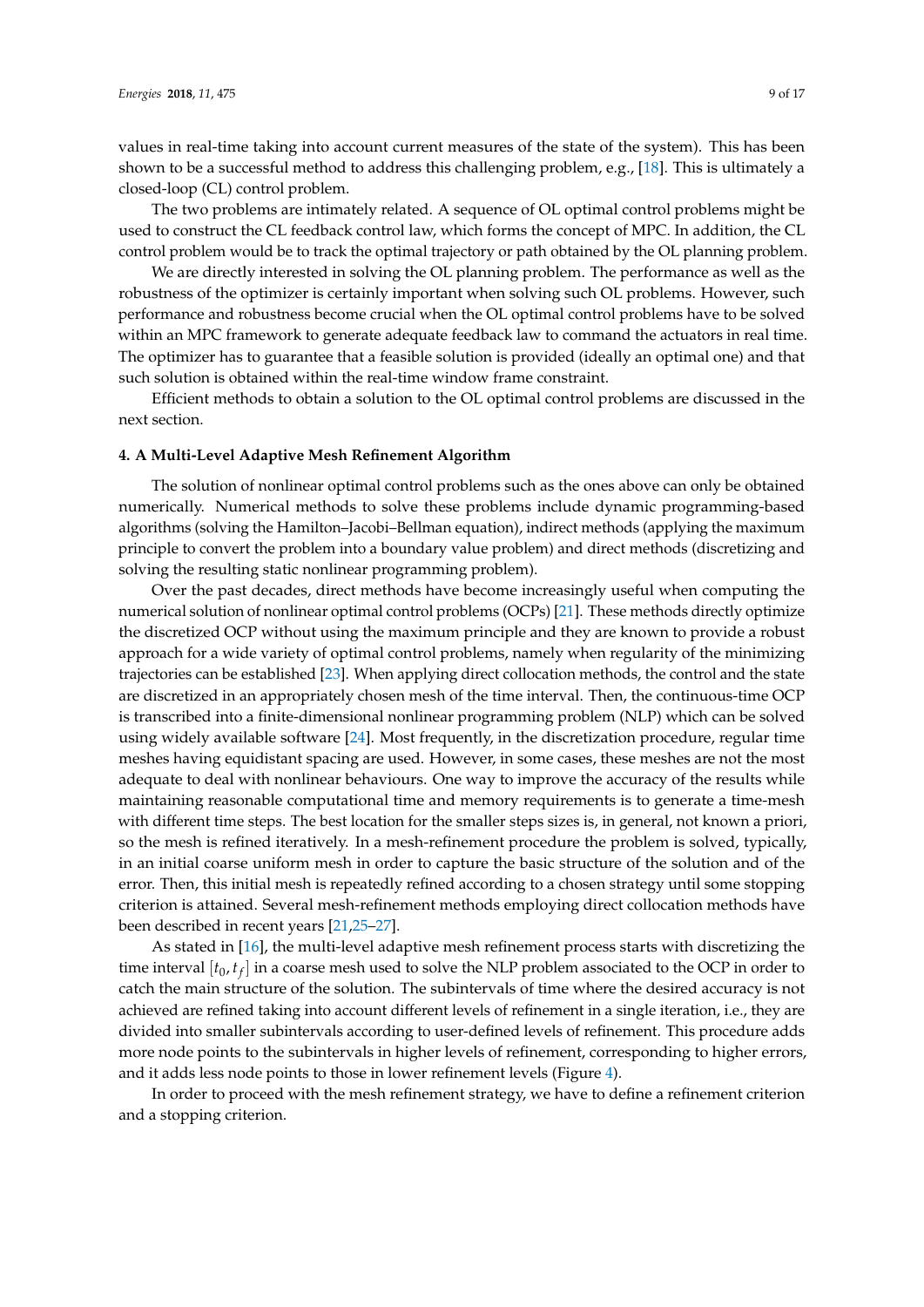values in real-time taking into account current measures of the state of the system). This has been shown to be a successful method to address this challenging problem, e.g., [\[18\]](#page-15-14). This is ultimately a closed-loop (CL) control problem.

The two problems are intimately related. A sequence of OL optimal control problems might be used to construct the CL feedback control law, which forms the concept of MPC. In addition, the CL control problem would be to track the optimal trajectory or path obtained by the OL planning problem.

We are directly interested in solving the OL planning problem. The performance as well as the robustness of the optimizer is certainly important when solving such OL problems. However, such performance and robustness become crucial when the OL optimal control problems have to be solved within an MPC framework to generate adequate feedback law to command the actuators in real time. The optimizer has to guarantee that a feasible solution is provided (ideally an optimal one) and that such solution is obtained within the real-time window frame constraint.

Efficient methods to obtain a solution to the OL optimal control problems are discussed in the next section.

#### **4. A Multi-Level Adaptive Mesh Refinement Algorithm**

The solution of nonlinear optimal control problems such as the ones above can only be obtained numerically. Numerical methods to solve these problems include dynamic programming-based algorithms (solving the Hamilton–Jacobi–Bellman equation), indirect methods (applying the maximum principle to convert the problem into a boundary value problem) and direct methods (discretizing and solving the resulting static nonlinear programming problem).

Over the past decades, direct methods have become increasingly useful when computing the numerical solution of nonlinear optimal control problems (OCPs) [\[21\]](#page-15-18). These methods directly optimize the discretized OCP without using the maximum principle and they are known to provide a robust approach for a wide variety of optimal control problems, namely when regularity of the minimizing trajectories can be established [\[23\]](#page-15-19). When applying direct collocation methods, the control and the state are discretized in an appropriately chosen mesh of the time interval. Then, the continuous-time OCP is transcribed into a finite-dimensional nonlinear programming problem (NLP) which can be solved using widely available software [\[24\]](#page-15-20). Most frequently, in the discretization procedure, regular time meshes having equidistant spacing are used. However, in some cases, these meshes are not the most adequate to deal with nonlinear behaviours. One way to improve the accuracy of the results while maintaining reasonable computational time and memory requirements is to generate a time-mesh with different time steps. The best location for the smaller steps sizes is, in general, not known a priori, so the mesh is refined iteratively. In a mesh-refinement procedure the problem is solved, typically, in an initial coarse uniform mesh in order to capture the basic structure of the solution and of the error. Then, this initial mesh is repeatedly refined according to a chosen strategy until some stopping criterion is attained. Several mesh-refinement methods employing direct collocation methods have been described in recent years [\[21,](#page-15-18)[25](#page-15-21)[–27\]](#page-16-0).

As stated in [\[16\]](#page-15-12), the multi-level adaptive mesh refinement process starts with discretizing the time interval  $[t_0, t_f]$  in a coarse mesh used to solve the NLP problem associated to the OCP in order to catch the main structure of the solution. The subintervals of time where the desired accuracy is not achieved are refined taking into account different levels of refinement in a single iteration, i.e., they are divided into smaller subintervals according to user-defined levels of refinement. This procedure adds more node points to the subintervals in higher levels of refinement, corresponding to higher errors, and it adds less node points to those in lower refinement levels (Figure [4\)](#page-9-0).

In order to proceed with the mesh refinement strategy, we have to define a refinement criterion and a stopping criterion.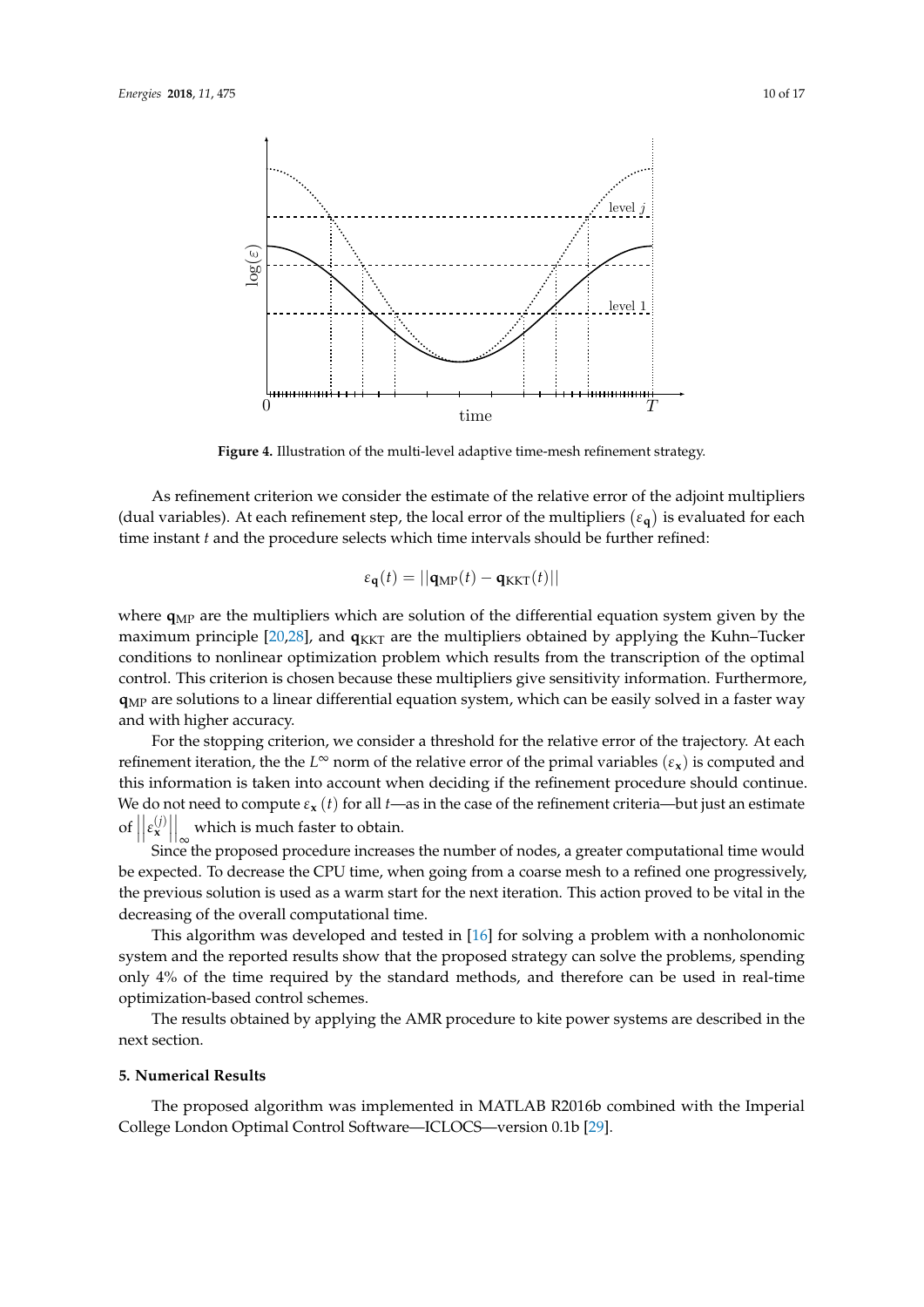<span id="page-9-0"></span>

**Figure 4.** Illustration of the multi-level adaptive time-mesh refinement strategy.

As refinement criterion we consider the estimate of the relative error of the adjoint multipliers (dual variables). At each refinement step, the local error of the multipliers  $(\epsilon_{\bf q})$  is evaluated for each time instant *t* and the procedure selects which time intervals should be further refined:

$$
\varepsilon_{\mathbf{q}}(t) = ||\mathbf{q}_{\mathrm{MP}}(t) - \mathbf{q}_{\mathrm{KKT}}(t)||
$$

where  $q_{MP}$  are the multipliers which are solution of the differential equation system given by the maximum principle [\[20](#page-15-16)[,28\]](#page-16-1), and  $q_{\text{KKT}}$  are the multipliers obtained by applying the Kuhn–Tucker conditions to nonlinear optimization problem which results from the transcription of the optimal control. This criterion is chosen because these multipliers give sensitivity information. Furthermore, **q**MP are solutions to a linear differential equation system, which can be easily solved in a faster way and with higher accuracy.

For the stopping criterion, we consider a threshold for the relative error of the trajectory. At each refinement iteration, the the  $L^{\infty}$  norm of the relative error of the primal variables  $(\varepsilon_{\bf x})$  is computed and this information is taken into account when deciding if the refinement procedure should continue. We do not need to compute  $\varepsilon$ **x** (*t*) for all *t*—as in the case of the refinement criteria—but just an estimate  $\left| \right|$  $\left| \varepsilon_{\mathbf{x}}^{(j)} \right|$ which is much faster to obtain.

Since the proposed procedure increases the number of nodes, a greater computational time would be expected. To decrease the CPU time, when going from a coarse mesh to a refined one progressively, the previous solution is used as a warm start for the next iteration. This action proved to be vital in the decreasing of the overall computational time.

This algorithm was developed and tested in [\[16\]](#page-15-12) for solving a problem with a nonholonomic system and the reported results show that the proposed strategy can solve the problems, spending only 4% of the time required by the standard methods, and therefore can be used in real-time optimization-based control schemes.

The results obtained by applying the AMR procedure to kite power systems are described in the next section.

## **5. Numerical Results**

The proposed algorithm was implemented in MATLAB R2016b combined with the Imperial College London Optimal Control Software—ICLOCS—version 0.1b [\[29\]](#page-16-2).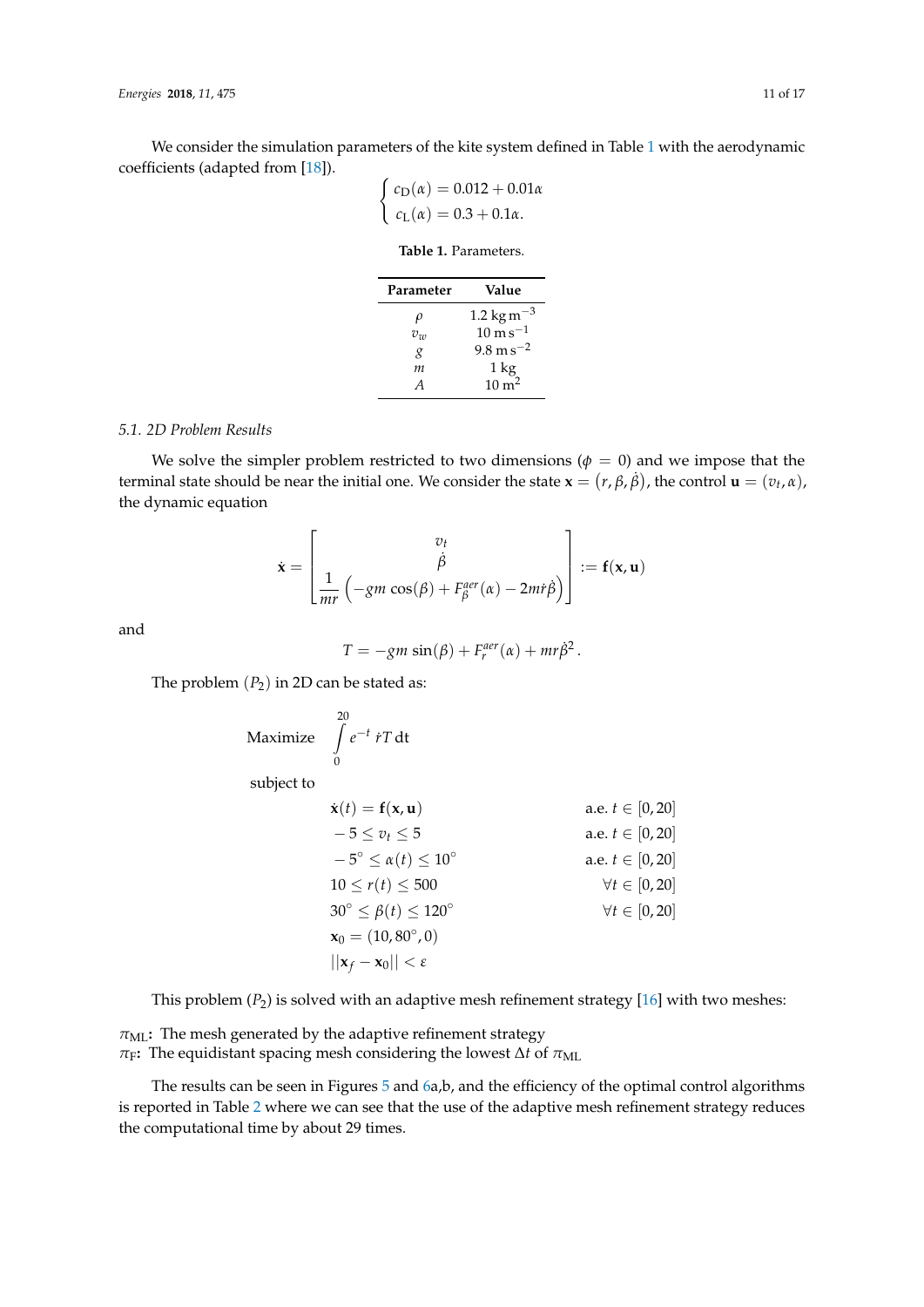<span id="page-10-0"></span>We consider the simulation parameters of the kite system defined in Table [1](#page-10-0) with the aerodynamic coefficients (adapted from [\[18\]](#page-15-14)).

$$
\begin{cases} c_{\text{D}}(\alpha) = 0.012 + 0.01\alpha \\ c_{\text{L}}(\alpha) = 0.3 + 0.1\alpha. \end{cases}
$$

| Parameter        | Value                               |
|------------------|-------------------------------------|
| ρ                | 1.2 kg m <sup><math>-3</math></sup> |
| $v_w$            | $10 \text{ m s}^{-1}$               |
| g                | $9.8 \,\mathrm{m\,s^{-2}}$          |
| m                | 1 kg                                |
| $\boldsymbol{A}$ | $10 \text{ m}^2$                    |

# **Table 1.** Parameters.

### *5.1. 2D Problem Results*

We solve the simpler problem restricted to two dimensions ( $\phi = 0$ ) and we impose that the terminal state should be near the initial one. We consider the state  $\mathbf{x} = (r, \beta, \dot{\beta})$ , the control  $\mathbf{u} = (v_t, \alpha)$ , the dynamic equation

$$
\dot{\mathbf{x}} = \begin{bmatrix} v_t \\ \dot{\beta} \\ \frac{1}{mr} \left( -gm \cos(\beta) + F_\beta^{aer}(\alpha) - 2mr\dot{\beta} \right) \end{bmatrix} := \mathbf{f}(\mathbf{x}, \mathbf{u})
$$

and

$$
T = -gm \sin(\beta) + F_r^{aer}(\alpha) + mr\dot{\beta}^2.
$$

The problem  $(P_2)$  in 2D can be stated as:

$$
\text{Maximize} \quad \int\limits_{0}^{20} e^{-t} \, i \, T \, \text{dt}
$$

subject to

| $\dot{\mathbf{x}}(t) = \mathbf{f}(\mathbf{x}, \mathbf{u})$ | a.e. $t \in [0, 20]$                            |
|------------------------------------------------------------|-------------------------------------------------|
| $-5 \le v_t \le 5$                                         | a.e. $t \in [0, 20]$                            |
| $-5^{\circ} \le \alpha(t) \le 10^{\circ}$                  | a.e. $t \in [0, 20]$                            |
| $10 \le r(t) \le 500$                                      | $\forall t \in [0, 20]$                         |
| $30^{\circ} \le \beta(t) \le 120^{\circ}$                  | $\forall t \in [0, 20]$                         |
| $\mathbf{x}_0 = (10, 80^{\circ}, 0)$                       | $  \mathbf{x}_f - \mathbf{x}_0   < \varepsilon$ |

This problem (*P*2) is solved with an adaptive mesh refinement strategy [\[16\]](#page-15-12) with two meshes:

 $\pi_{ML}$ : The mesh generated by the adaptive refinement strategy  $\pi$ <sub>F</sub>: The equidistant spacing mesh considering the lowest  $\Delta t$  of  $\pi$ <sub>ML</sub>

The results can be seen in Figures [5](#page-11-0) and [6a](#page-11-1),b, and the efficiency of the optimal control algorithms is reported in Table [2](#page-11-2) where we can see that the use of the adaptive mesh refinement strategy reduces the computational time by about 29 times.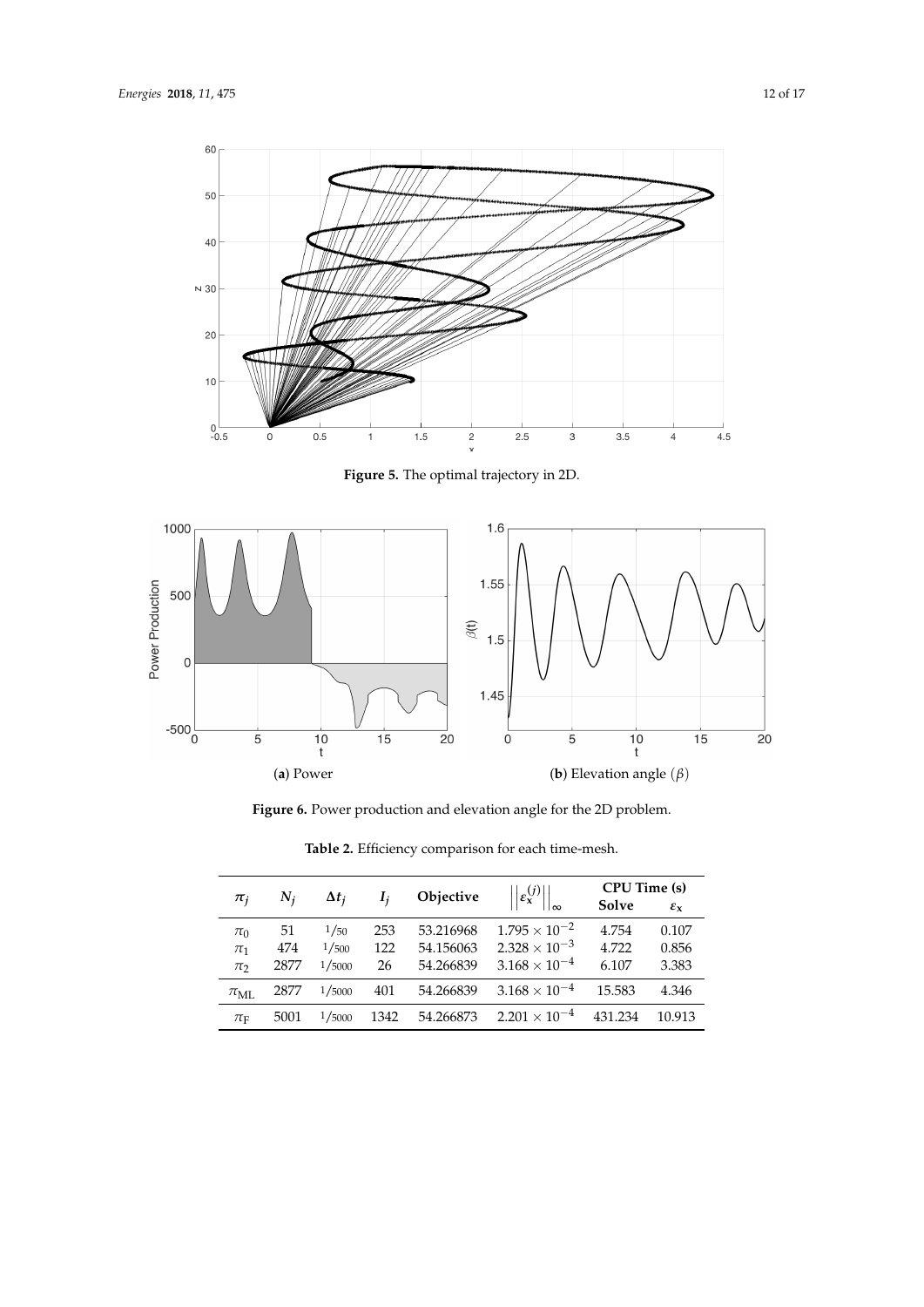<span id="page-11-0"></span>

**Figure 5.** The optimal trajectory in 2D.

<span id="page-11-1"></span>

**Figure 6.** Power production and elevation angle for the 2D problem.

<span id="page-11-2"></span>

| $\pi_i$           | $N_i$ | $\Delta t_i$ | I,   | Objective | $\left\ \varepsilon_{\mathbf{x}}^{(j)}\right\ $ | CPU Time (s)<br>Solve | $\mathcal{E}_{\mathbf{X}}$ |
|-------------------|-------|--------------|------|-----------|-------------------------------------------------|-----------------------|----------------------------|
| $\pi_0$           | 51    | 1/50         | 253  | 53.216968 | $1.795 \times 10^{-2}$                          | 4.754                 | 0.107                      |
| $\pi_1$           | 474   | 1/500        | 122  | 54.156063 | $2.328 \times 10^{-3}$                          | 4.722                 | 0.856                      |
| $\pi$             | 2877  | 1/5000       | 26   | 54.266839 | $3.168 \times 10^{-4}$                          | 6.107                 | 3.383                      |
| $\pi_{\text{MI}}$ | 2877  | 1/5000       | 401  | 54.266839 | $3.168 \times 10^{-4}$                          | 15.583                | 4.346                      |
| $\pi_{\text{F}}$  | 5001  | 1/5000       | 1342 | 54.266873 | $2.201 \times 10^{-4}$                          | 431.234               | 10.913                     |

**Table 2.** Efficiency comparison for each time-mesh.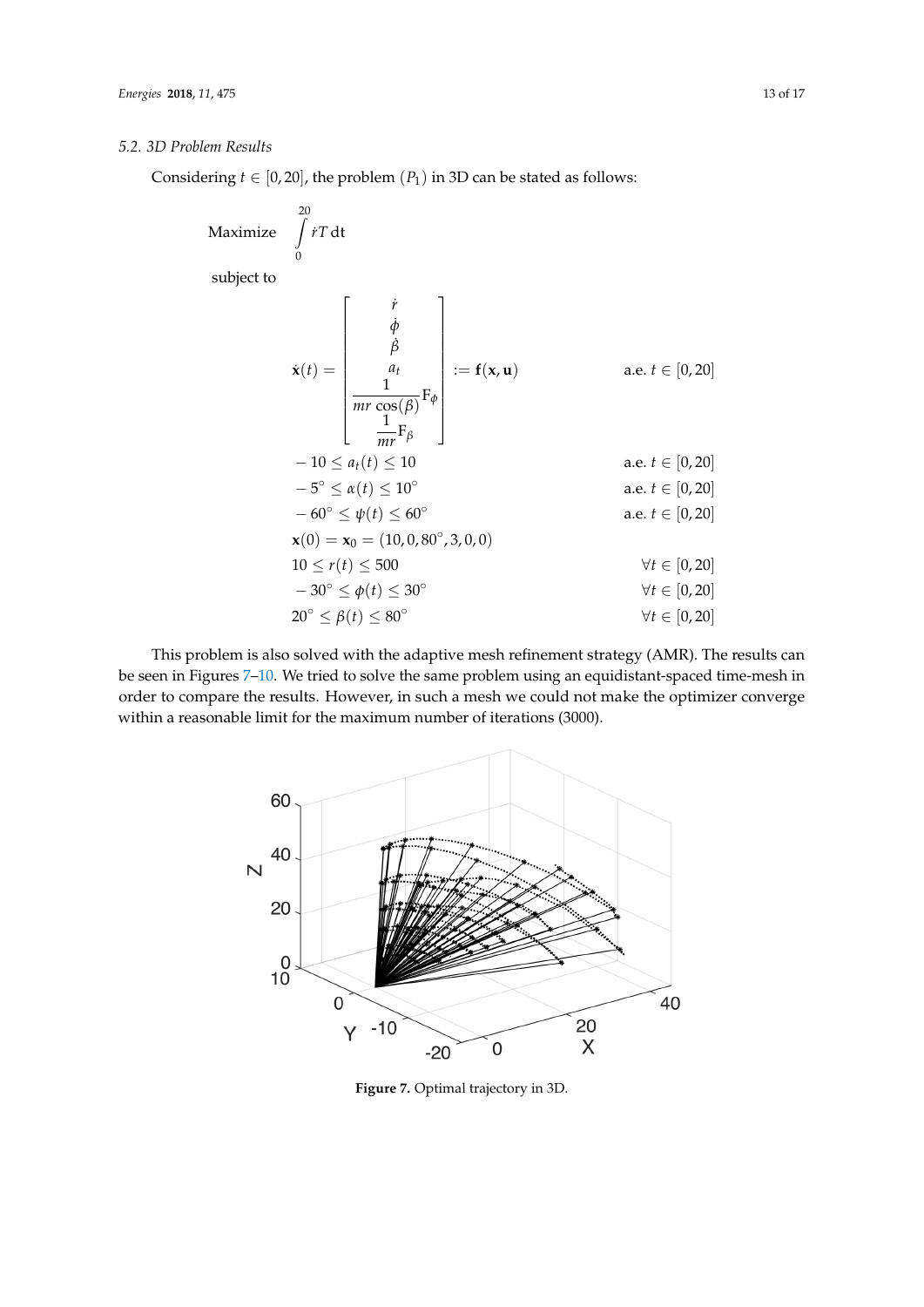# *5.2. 3D Problem Results*

Considering  $t \in [0, 20]$ , the problem  $(P_1)$  in 3D can be stated as follows:

Maximize 
$$
\int_{0}^{20} tT dt
$$
  
\nsubject to  
\n
$$
\dot{\mathbf{x}}(t) = \begin{bmatrix} \dot{r} \\ \dot{\phi} \\ \frac{a}{\beta} \\ \frac{1}{mr \cos(\beta)} F_{\phi} \\ \frac{1}{mr} F_{\beta} \end{bmatrix} := \mathbf{f}(\mathbf{x}, \mathbf{u}) \quad \text{a.e. } t \in [0, 20]
$$
\n
$$
-10 \le a_t(t) \le 10 \quad \text{a.e. } t \in [0, 20]
$$
\n
$$
-5^{\circ} \le \alpha(t) \le 10^{\circ} \quad \text{a.e. } t \in [0, 20]
$$
\n
$$
-60^{\circ} \le \psi(t) \le 60^{\circ} \quad \text{a.e. } t \in [0, 20]
$$
\n
$$
\mathbf{x}(0) = \mathbf{x}_0 = (10, 0, 80^{\circ}, 3, 0, 0)
$$
\n
$$
10 \le r(t) \le 500 \quad \forall t \in [0, 20]
$$
\n
$$
-30^{\circ} \le \phi(t) \le 30^{\circ} \quad \forall t \in [0, 20]
$$
\n
$$
20^{\circ} \le \beta(t) \le 80^{\circ} \quad \forall t \in [0, 20]
$$

<span id="page-12-0"></span>This problem is also solved with the adaptive mesh refinement strategy (AMR). The results can be seen in Figures [7–](#page-12-0)[10.](#page-13-0) We tried to solve the same problem using an equidistant-spaced time-mesh in order to compare the results. However, in such a mesh we could not make the optimizer converge within a reasonable limit for the maximum number of iterations (3000).



**Figure 7.** Optimal trajectory in 3D.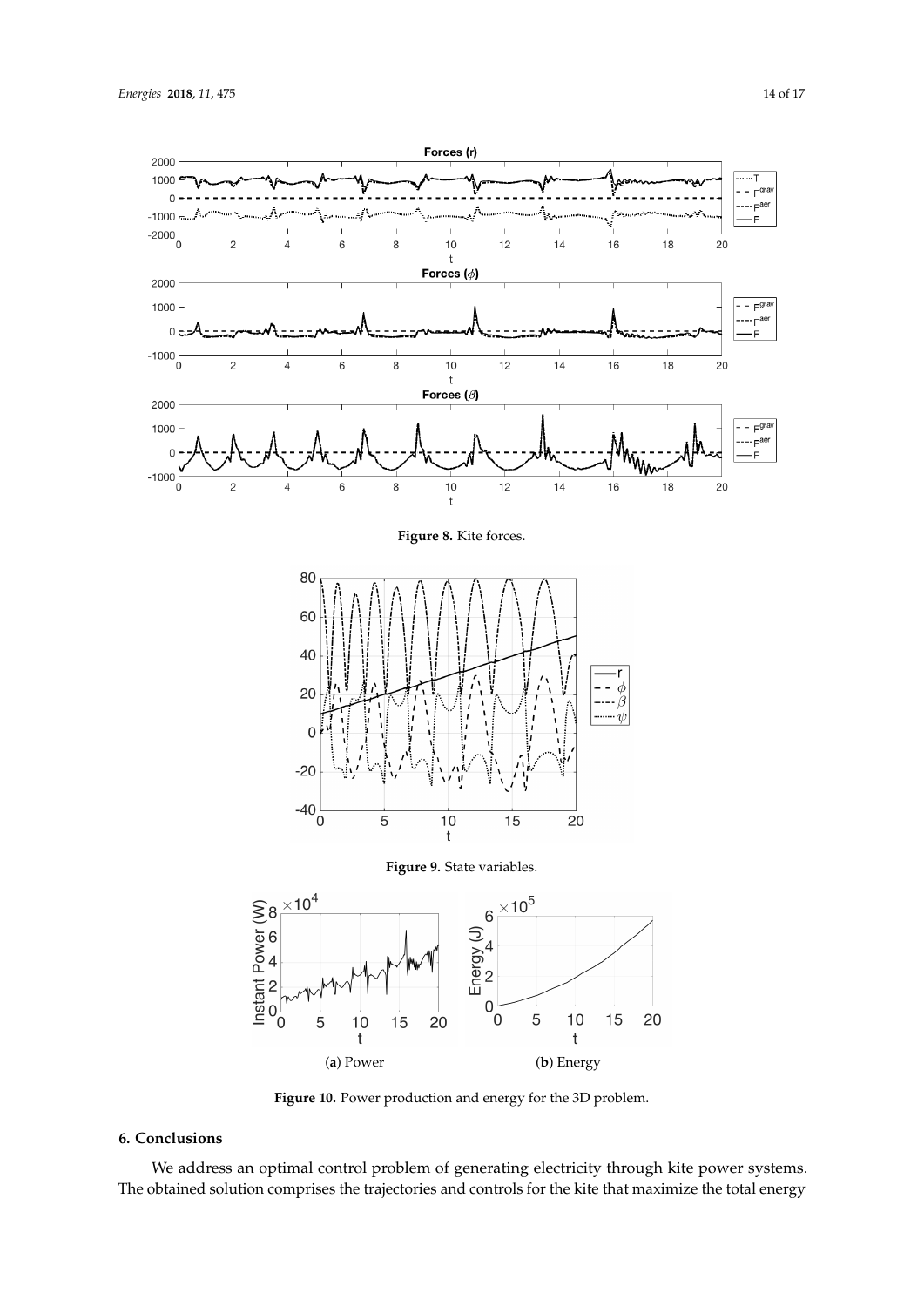



**Figure 10.** Power production and energy for the 3D problem.

# <span id="page-13-0"></span>**6. Conclusions**

We address an optimal control problem of generating electricity through kite power systems. The obtained solution comprises the trajectories and controls for the kite that maximize the total energy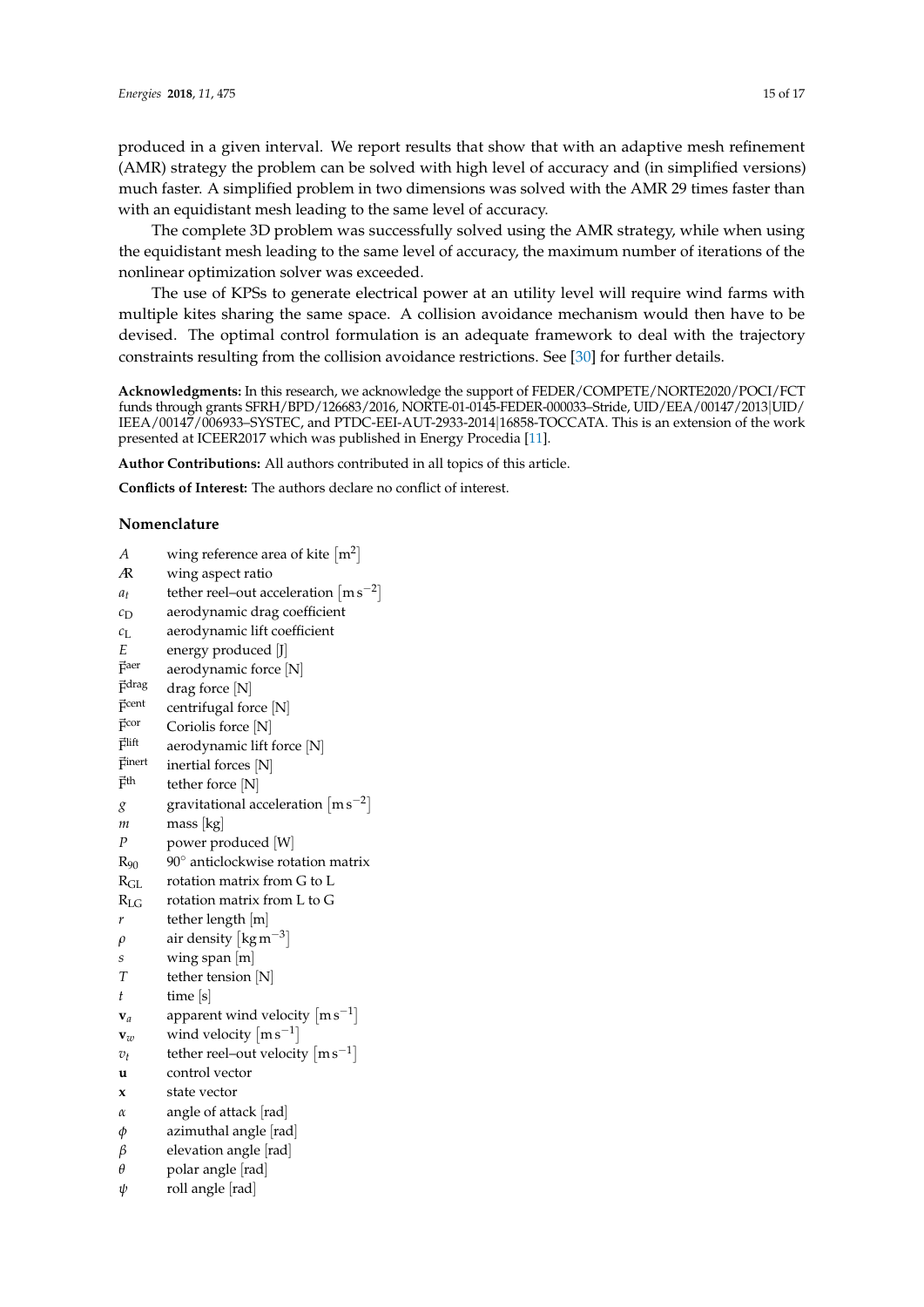produced in a given interval. We report results that show that with an adaptive mesh refinement (AMR) strategy the problem can be solved with high level of accuracy and (in simplified versions) much faster. A simplified problem in two dimensions was solved with the AMR 29 times faster than with an equidistant mesh leading to the same level of accuracy.

The complete 3D problem was successfully solved using the AMR strategy, while when using the equidistant mesh leading to the same level of accuracy, the maximum number of iterations of the nonlinear optimization solver was exceeded.

The use of KPSs to generate electrical power at an utility level will require wind farms with multiple kites sharing the same space. A collision avoidance mechanism would then have to be devised. The optimal control formulation is an adequate framework to deal with the trajectory constraints resulting from the collision avoidance restrictions. See [\[30\]](#page-16-3) for further details.

**Acknowledgments:** In this research, we acknowledge the support of FEDER/COMPETE/NORTE2020/POCI/FCT funds through grants SFRH/BPD/126683/2016, NORTE-01-0145-FEDER-000033–Stride, UID/EEA/00147/2013|UID/ IEEA/00147/006933–SYSTEC, and PTDC-EEI-AUT-2933-2014|16858-TOCCATA. This is an extension of the work presented at ICEER2017 which was published in Energy Procedia [\[11\]](#page-15-9).

**Author Contributions:** All authors contributed in all topics of this article.

**Conflicts of Interest:** The authors declare no conflict of interest.

## **Nomenclature**

| А                | wing reference area of kite $[m^2]$                   |
|------------------|-------------------------------------------------------|
| Æ                | wing aspect ratio                                     |
| $a_t$            | tether reel-out acceleration $\lceil m s^{-2} \rceil$ |
| $c_{\rm D}$      | aerodynamic drag coefficient                          |
| $c_{\text{L}}$   | aerodynamic lift coefficient                          |
| E                | energy produced [J]                                   |
| $\vec{F}$ aer    | aerodynamic force [N]                                 |
| Fdrag            | drag force [N]                                        |
| $\vec{F}$ cent   | centrifugal force [N]                                 |
| $\vec{F}$ cor    | Coriolis force [N]                                    |
| Flift            | aerodynamic lift force [N]                            |
| Finert           | inertial forces [N]                                   |
| 斥th              | tether force [N]                                      |
| g                | gravitational acceleration $\lceil m s^{-2} \rceil$   |
| т                | mass [kg]                                             |
| $\boldsymbol{P}$ | power produced [W]                                    |
| $R_{90}$         | 90° anticlockwise rotation matrix                     |
| $R_{GL}$         | rotation matrix from G to L                           |
| $R_{LG}$         | rotation matrix from L to G                           |
| r                | tether length [m]                                     |
| $\rho$           | air density $\lceil \text{kg m}^{-3} \rceil$          |
| S                | wing span [m]                                         |
| T                | tether tension [N]                                    |
| t                | time $[s]$                                            |
| $\mathbf{v}_a$   | apparent wind velocity $\lceil m s^{-1} \rceil$       |
| $\mathbf{v}_w$   | wind velocity $\lfloor ms^{-1} \rfloor$               |
| $v_t$            | tether reel-out velocity $\lceil m s^{-1} \rceil$     |
| u                | control vector                                        |
| x                | state vector                                          |
| $\alpha$         | angle of attack [rad]                                 |
| φ                | azimuthal angle  rad                                  |
| β                | elevation angle [rad]                                 |
| $\theta$         | polar angle [rad]                                     |
| ψ                | roll angle [rad]                                      |
|                  |                                                       |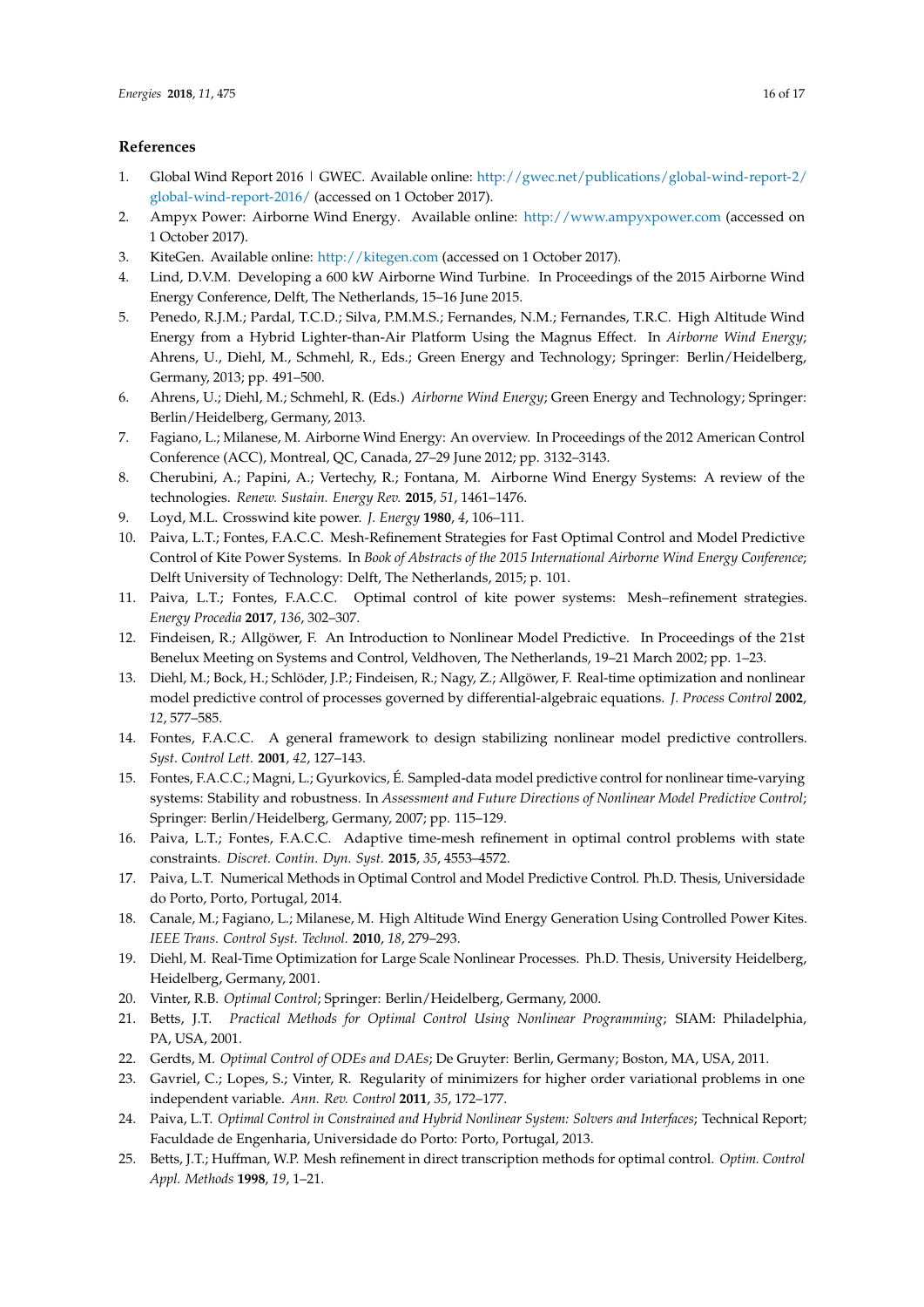## **References**

- <span id="page-15-0"></span>1. Global Wind Report 2016 | GWEC. Available online: [http://gwec.net/publications/global-wind-report-2/](http://gwec.net/publications/global-wind-report-2/global-wind-report-2016/) [global-wind-report-2016/](http://gwec.net/publications/global-wind-report-2/global-wind-report-2016/) (accessed on 1 October 2017).
- <span id="page-15-1"></span>2. Ampyx Power: Airborne Wind Energy. Available online: <http://www.ampyxpower.com> (accessed on 1 October 2017).
- <span id="page-15-2"></span>3. KiteGen. Available online: <http://kitegen.com> (accessed on 1 October 2017).
- <span id="page-15-3"></span>4. Lind, D.V.M. Developing a 600 kW Airborne Wind Turbine. In Proceedings of the 2015 Airborne Wind Energy Conference, Delft, The Netherlands, 15–16 June 2015.
- <span id="page-15-4"></span>5. Penedo, R.J.M.; Pardal, T.C.D.; Silva, P.M.M.S.; Fernandes, N.M.; Fernandes, T.R.C. High Altitude Wind Energy from a Hybrid Lighter-than-Air Platform Using the Magnus Effect. In *Airborne Wind Energy*; Ahrens, U., Diehl, M., Schmehl, R., Eds.; Green Energy and Technology; Springer: Berlin/Heidelberg, Germany, 2013; pp. 491–500.
- <span id="page-15-5"></span>6. Ahrens, U.; Diehl, M.; Schmehl, R. (Eds.) *Airborne Wind Energy*; Green Energy and Technology; Springer: Berlin/Heidelberg, Germany, 2013.
- 7. Fagiano, L.; Milanese, M. Airborne Wind Energy: An overview. In Proceedings of the 2012 American Control Conference (ACC), Montreal, QC, Canada, 27–29 June 2012; pp. 3132–3143.
- <span id="page-15-6"></span>8. Cherubini, A.; Papini, A.; Vertechy, R.; Fontana, M. Airborne Wind Energy Systems: A review of the technologies. *Renew. Sustain. Energy Rev.* **2015**, *51*, 1461–1476.
- <span id="page-15-7"></span>9. Loyd, M.L. Crosswind kite power. *J. Energy* **1980**, *4*, 106–111.
- <span id="page-15-8"></span>10. Paiva, L.T.; Fontes, F.A.C.C. Mesh-Refinement Strategies for Fast Optimal Control and Model Predictive Control of Kite Power Systems. In *Book of Abstracts of the 2015 International Airborne Wind Energy Conference*; Delft University of Technology: Delft, The Netherlands, 2015; p. 101.
- <span id="page-15-9"></span>11. Paiva, L.T.; Fontes, F.A.C.C. Optimal control of kite power systems: Mesh–refinement strategies. *Energy Procedia* **2017**, *136*, 302–307.
- <span id="page-15-10"></span>12. Findeisen, R.; Allgöwer, F. An Introduction to Nonlinear Model Predictive. In Proceedings of the 21st Benelux Meeting on Systems and Control, Veldhoven, The Netherlands, 19–21 March 2002; pp. 1–23.
- 13. Diehl, M.; Bock, H.; Schlöder, J.P.; Findeisen, R.; Nagy, Z.; Allgöwer, F. Real-time optimization and nonlinear model predictive control of processes governed by differential-algebraic equations. *J. Process Control* **2002**, *12*, 577–585.
- 14. Fontes, F.A.C.C. A general framework to design stabilizing nonlinear model predictive controllers. *Syst. Control Lett.* **2001**, *42*, 127–143.
- <span id="page-15-11"></span>15. Fontes, F.A.C.C.; Magni, L.; Gyurkovics, É. Sampled-data model predictive control for nonlinear time-varying systems: Stability and robustness. In *Assessment and Future Directions of Nonlinear Model Predictive Control*; Springer: Berlin/Heidelberg, Germany, 2007; pp. 115–129.
- <span id="page-15-12"></span>16. Paiva, L.T.; Fontes, F.A.C.C. Adaptive time-mesh refinement in optimal control problems with state constraints. *Discret. Contin. Dyn. Syst.* **2015**, *35*, 4553–4572.
- <span id="page-15-13"></span>17. Paiva, L.T. Numerical Methods in Optimal Control and Model Predictive Control. Ph.D. Thesis, Universidade do Porto, Porto, Portugal, 2014.
- <span id="page-15-14"></span>18. Canale, M.; Fagiano, L.; Milanese, M. High Altitude Wind Energy Generation Using Controlled Power Kites. *IEEE Trans. Control Syst. Technol.* **2010**, *18*, 279–293.
- <span id="page-15-15"></span>19. Diehl, M. Real-Time Optimization for Large Scale Nonlinear Processes. Ph.D. Thesis, University Heidelberg, Heidelberg, Germany, 2001.
- <span id="page-15-16"></span>20. Vinter, R.B. *Optimal Control*; Springer: Berlin/Heidelberg, Germany, 2000.
- <span id="page-15-18"></span>21. Betts, J.T. *Practical Methods for Optimal Control Using Nonlinear Programming*; SIAM: Philadelphia, PA, USA, 2001.
- <span id="page-15-17"></span>22. Gerdts, M. *Optimal Control of ODEs and DAEs*; De Gruyter: Berlin, Germany; Boston, MA, USA, 2011.
- <span id="page-15-19"></span>23. Gavriel, C.; Lopes, S.; Vinter, R. Regularity of minimizers for higher order variational problems in one independent variable. *Ann. Rev. Control* **2011**, *35*, 172–177.
- <span id="page-15-20"></span>24. Paiva, L.T. *Optimal Control in Constrained and Hybrid Nonlinear System: Solvers and Interfaces*; Technical Report; Faculdade de Engenharia, Universidade do Porto: Porto, Portugal, 2013.
- <span id="page-15-21"></span>25. Betts, J.T.; Huffman, W.P. Mesh refinement in direct transcription methods for optimal control. *Optim. Control Appl. Methods* **1998**, *19*, 1–21.